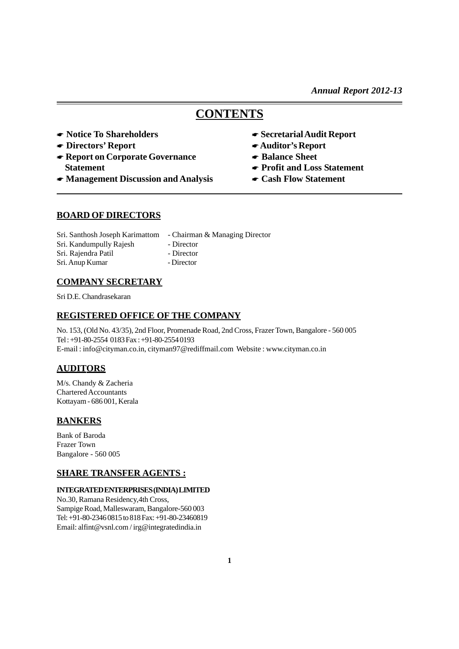# **CONTENTS**

- **Notice To Shareholders**
- **Directors' Report**
- **Report on Corporate Governance Statement**
- **Management Discussion and Analysis**
- **Secretarial Audit Report**
- **Auditor's Report**
- **Balance Sheet**
- **Profit and Loss Statement**
- **Cash Flow Statement**

# **BOARD OF DIRECTORS**

| Sri. Santhosh Joseph Karimattom | - Chairman & Managing Director |
|---------------------------------|--------------------------------|
| Sri. Kandumpully Rajesh         | - Director                     |
| Sri. Rajendra Patil             | - Director                     |
| Sri. Anup Kumar                 | - Director                     |

# **COMPANY SECRETARY**

Sri D.E. Chandrasekaran

# **REGISTERED OFFICE OF THE COMPANY**

No. 153, (Old No. 43/35), 2nd Floor, Promenade Road, 2nd Cross, Frazer Town, Bangalore - 560 005 Tel : +91-80-2554 0183 Fax : +91-80-2554 0193 E-mail : info@cityman.co.in, cityman97@rediffmail.com Website : www.cityman.co.in

# **AUDITORS**

M/s. Chandy & Zacheria Chartered Accountants Kottayam - 686 001, Kerala

## **BANKERS**

Bank of Baroda Frazer Town Bangalore - 560 005

## **SHARE TRANSFER AGENTS :**

## **INTEGRATED ENTERPRISES (INDIA) LIMITED**

No.30, Ramana Residency,4th Cross, Sampige Road, Malleswaram, Bangalore-560 003 Tel: +91-80-2346 0815 to 818 Fax: +91-80-23460819 Email: alfint@vsnl.com / irg@integratedindia.in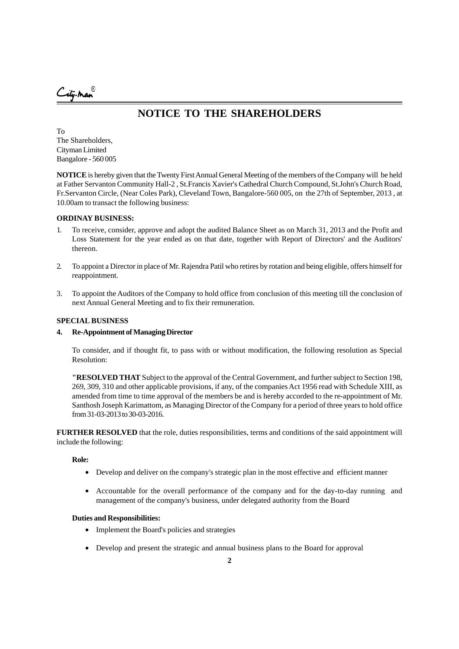.<br>Aly-Man

# **NOTICE TO THE SHAREHOLDERS**

To The Shareholders, Cityman Limited Bangalore - 560 005

**NOTICE** is hereby given that the Twenty First Annual General Meeting of the members of the Company will be held at Father Servanton Community Hall-2 , St.Francis Xavier's Cathedral Church Compound, St.John's Church Road, Fr.Servanton Circle, (Near Coles Park), Cleveland Town, Bangalore-560 005, on the 27th of September, 2013 , at 10.00am to transact the following business:

## **ORDINAY BUSINESS:**

- 1. To receive, consider, approve and adopt the audited Balance Sheet as on March 31, 2013 and the Profit and Loss Statement for the year ended as on that date, together with Report of Directors' and the Auditors' thereon.
- 2. To appoint a Director in place of Mr. Rajendra Patil who retires by rotation and being eligible, offers himself for reappointment.
- 3. To appoint the Auditors of the Company to hold office from conclusion of this meeting till the conclusion of next Annual General Meeting and to fix their remuneration.

## **SPECIAL BUSINESS**

## **4. Re-Appointment of Managing Director**

To consider, and if thought fit, to pass with or without modification, the following resolution as Special Resolution:

**"RESOLVED THAT** Subject to the approval of the Central Government, and further subject to Section 198, 269, 309, 310 and other applicable provisions, if any, of the companies Act 1956 read with Schedule XIII, as amended from time to time approval of the members be and is hereby accorded to the re-appointment of Mr. Santhosh Joseph Karimattom, as Managing Director of the Company for a period of three years to hold office from 31-03-2013 to 30-03-2016.

**FURTHER RESOLVED** that the role, duties responsibilities, terms and conditions of the said appointment will include the following:

## **Role:**

- Develop and deliver on the company's strategic plan in the most effective and efficient manner
- Accountable for the overall performance of the company and for the day-to-day running and management of the company's business, under delegated authority from the Board

## **Duties and Responsibilities:**

- Implement the Board's policies and strategies
- Develop and present the strategic and annual business plans to the Board for approval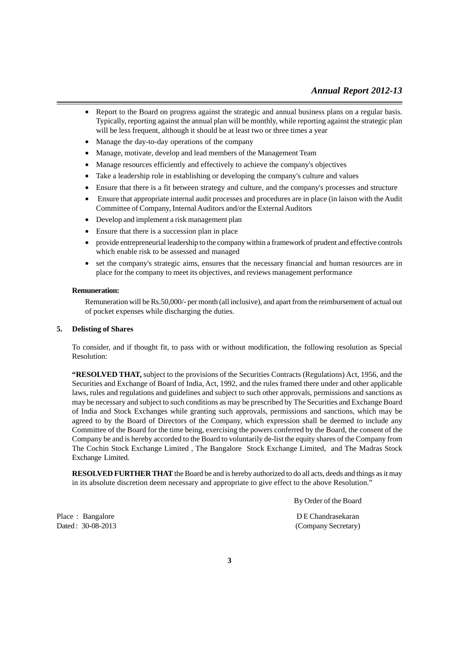- Report to the Board on progress against the strategic and annual business plans on a regular basis. Typically, reporting against the annual plan will be monthly, while reporting against the strategic plan will be less frequent, although it should be at least two or three times a year
- Manage the day-to-day operations of the company
- Manage, motivate, develop and lead members of the Management Team
- Manage resources efficiently and effectively to achieve the company's objectives
- Take a leadership role in establishing or developing the company's culture and values
- Ensure that there is a fit between strategy and culture, and the company's processes and structure
- Ensure that appropriate internal audit processes and procedures are in place (in laison with the Audit Committee of Company, Internal Auditors and/or the External Auditors
- Develop and implement a risk management plan
- Ensure that there is a succession plan in place
- provide entrepreneurial leadership to the company within a framework of prudent and effective controls which enable risk to be assessed and managed
- set the company's strategic aims, ensures that the necessary financial and human resources are in place for the company to meet its objectives, and reviews management performance

### **Remuneration:**

Remuneration will be Rs.50,000/- per month (all inclusive), and apart from the reimbursement of actual out of pocket expenses while discharging the duties.

#### **5. Delisting of Shares**

To consider, and if thought fit, to pass with or without modification, the following resolution as Special Resolution:

**"RESOLVED THAT,** subject to the provisions of the Securities Contracts (Regulations) Act, 1956, and the Securities and Exchange of Board of India, Act, 1992, and the rules framed there under and other applicable laws, rules and regulations and guidelines and subject to such other approvals, permissions and sanctions as may be necessary and subject to such conditions as may be prescribed by The Securities and Exchange Board of India and Stock Exchanges while granting such approvals, permissions and sanctions, which may be agreed to by the Board of Directors of the Company, which expression shall be deemed to include any Committee of the Board for the time being, exercising the powers conferred by the Board, the consent of the Company be and is hereby accorded to the Board to voluntarily de-list the equity shares of the Company from The Cochin Stock Exchange Limited , The Bangalore Stock Exchange Limited, and The Madras Stock Exchange Limited.

**RESOLVED FURTHER THAT** the Board be and is hereby authorized to do all acts, deeds and things as it may in its absolute discretion deem necessary and appropriate to give effect to the above Resolution."

By Order of the Board

Place : Bangalore D E Chandrasekaran Dated : 30-08-2013 (Company Secretary)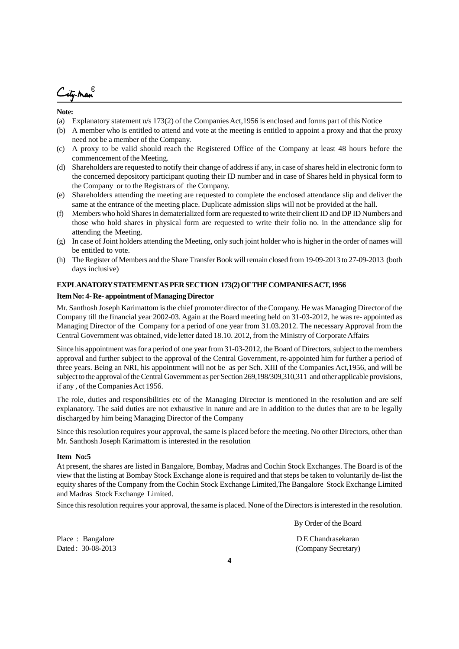City-Man $^\circ$ 

#### **Note:**

- (a) Explanatory statement u/s 173(2) of the Companies Act,1956 is enclosed and forms part of this Notice
- (b) A member who is entitled to attend and vote at the meeting is entitled to appoint a proxy and that the proxy need not be a member of the Company.
- (c) A proxy to be valid should reach the Registered Office of the Company at least 48 hours before the commencement of the Meeting.
- (d) Shareholders are requested to notify their change of address if any, in case of shares held in electronic form to the concerned depository participant quoting their ID number and in case of Shares held in physical form to the Company or to the Registrars of the Company.
- (e) Shareholders attending the meeting are requested to complete the enclosed attendance slip and deliver the same at the entrance of the meeting place. Duplicate admission slips will not be provided at the hall.
- (f) Members who hold Shares in dematerialized form are requested to write their client ID and DP ID Numbers and those who hold shares in physical form are requested to write their folio no. in the attendance slip for attending the Meeting.
- (g) In case of Joint holders attending the Meeting, only such joint holder who is higher in the order of names will be entitled to vote.
- (h) The Register of Members and the Share Transfer Book will remain closed from 19-09-2013 to 27-09-2013 (both days inclusive)

## **EXPLANATORY STATEMENT AS PER SECTION 173(2) OF THE COMPANIES ACT, 1956**

#### **Item No: 4- Re- appointment of Managing Director**

Mr. Santhosh Joseph Karimattom is the chief promoter director of the Company. He was Managing Director of the Company till the financial year 2002-03. Again at the Board meeting held on 31-03-2012, he was re- appointed as Managing Director of the Company for a period of one year from 31.03.2012. The necessary Approval from the Central Government was obtained, vide letter dated 18.10. 2012, from the Ministry of Corporate Affairs

Since his appointment was for a period of one year from 31-03-2012, the Board of Directors, subject to the members approval and further subject to the approval of the Central Government, re-appointed him for further a period of three years. Being an NRI, his appointment will not be as per Sch. XIII of the Companies Act,1956, and will be subject to the approval of the Central Government as per Section 269,198/309,310,311 and other applicable provisions, if any , of the Companies Act 1956.

The role, duties and responsibilities etc of the Managing Director is mentioned in the resolution and are self explanatory. The said duties are not exhaustive in nature and are in addition to the duties that are to be legally discharged by him being Managing Director of the Company

Since this resolution requires your approval, the same is placed before the meeting. No other Directors, other than Mr. Santhosh Joseph Karimattom is interested in the resolution

#### **Item No:5**

At present, the shares are listed in Bangalore, Bombay, Madras and Cochin Stock Exchanges. The Board is of the view that the listing at Bombay Stock Exchange alone is required and that steps be taken to voluntarily de-list the equity shares of the Company from the Cochin Stock Exchange Limited,The Bangalore Stock Exchange Limited and Madras Stock Exchange Limited.

Since this resolution requires your approval, the same is placed. None of the Directors is interested in the resolution.

By Order of the Board

Place : Bangalore DE Chandrasekaran Dated : 30-08-2013 (Company Secretary)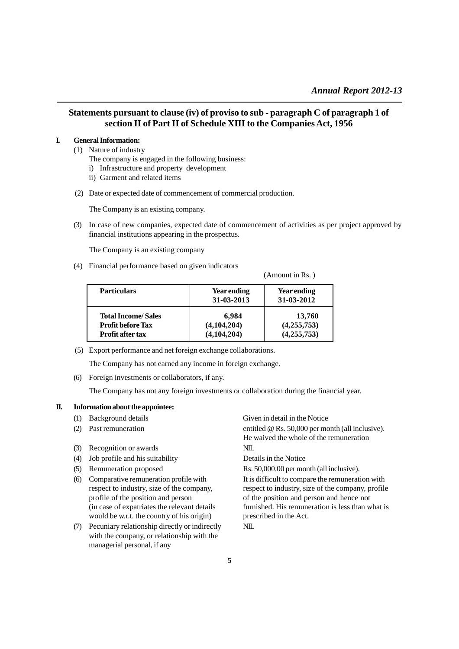# **Statements pursuant to clause (iv) of proviso to sub - paragraph C of paragraph 1 of section II of Part II of Schedule XIII to the Companies Act, 1956**

## **I. General Information:**

- (1) Nature of industry
	- The company is engaged in the following business:
	- i) Infrastructure and property development
	- ii) Garment and related items
- (2) Date or expected date of commencement of commercial production.

The Company is an existing company.

(3) In case of new companies, expected date of commencement of activities as per project approved by financial institutions appearing in the prospectus.

The Company is an existing company

(4) Financial performance based on given indicators

(Amount in Rs. )

| <b>Particulars</b>        | Year ending<br>31-03-2013 | <b>Year ending</b><br>31-03-2012 |
|---------------------------|---------------------------|----------------------------------|
| <b>Total Income/Sales</b> | 6,984                     | 13,760                           |
| <b>Profit before Tax</b>  | (4,104,204)               | (4,255,753)                      |
| <b>Profit after tax</b>   | (4,104,204)               | (4,255,753)                      |

(5) Export performance and net foreign exchange collaborations.

The Company has not earned any income in foreign exchange.

(6) Foreign investments or collaborators, if any.

The Company has not any foreign investments or collaboration during the financial year.

## **II. Information about the appointee:**

- 
- 
- (3) Recognition or awards NIL
- (4) Job profile and his suitability Details in the Notice
- 
- would be w.r.t. the country of his origin) prescribed in the Act.
- (7) Pecuniary relationship directly or indirectly NIL with the company, or relationship with the managerial personal, if any

(1) Background details Given in detail in the Notice

(2) Past remuneration entitled @ Rs. 50,000 per month (all inclusive). He waived the whole of the remuneration

(5) Remuneration proposed Rs. 50,000.00 per month (all inclusive).

(6) Comparative remuneration profile with It is difficult to compare the remuneration with respect to industry, size of the company, respect to industry, size of the company, profile profile of the position and person of the position and person and hence not (in case of expatriates the relevant details furnished. His remuneration is less than what is

**5**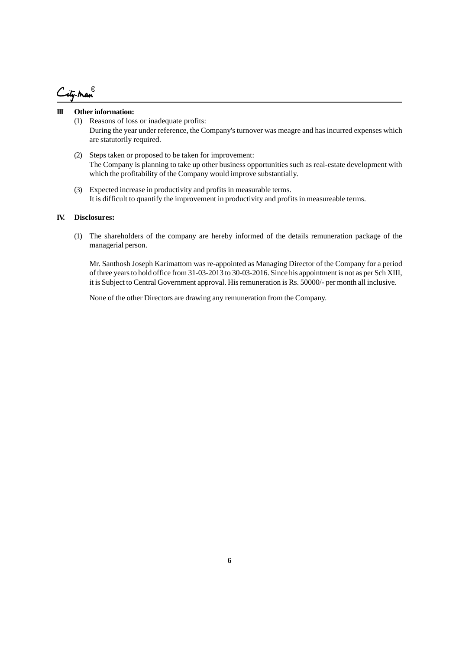

#### **III Other information:**

- (1) Reasons of loss or inadequate profits: During the year under reference, the Company's turnover was meagre and has incurred expenses which are statutorily required.
- (2) Steps taken or proposed to be taken for improvement: The Company is planning to take up other business opportunities such as real-estate development with which the profitability of the Company would improve substantially.
- (3) Expected increase in productivity and profits in measurable terms. It is difficult to quantify the improvement in productivity and profits in measureable terms.

## **IV. Disclosures:**

(1) The shareholders of the company are hereby informed of the details remuneration package of the managerial person.

Mr. Santhosh Joseph Karimattom was re-appointed as Managing Director of the Company for a period of three years to hold office from 31-03-2013 to 30-03-2016. Since his appointment is not as per Sch XIII, it is Subject to Central Government approval. His remuneration is Rs. 50000/- per month all inclusive.

None of the other Directors are drawing any remuneration from the Company.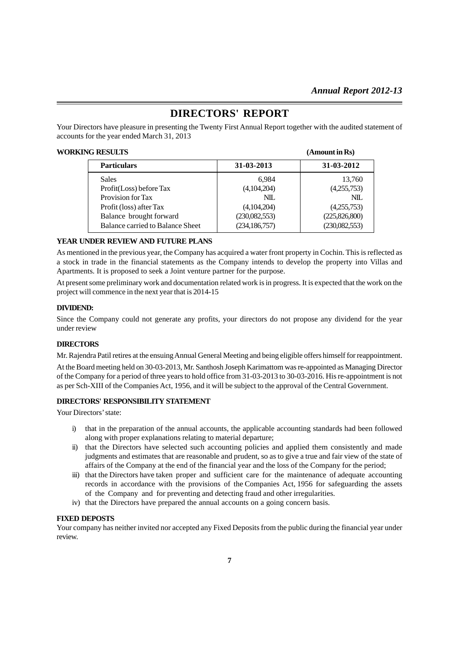# **DIRECTORS' REPORT**

Your Directors have pleasure in presenting the Twenty First Annual Report together with the audited statement of accounts for the year ended March 31, 2013

## **WORKING RESULTS** *(Amount in Rs)*

| <b>Particulars</b>               | 31-03-2013      | 31-03-2012    |
|----------------------------------|-----------------|---------------|
| <b>Sales</b>                     | 6.984           | 13,760        |
| Profit(Loss) before Tax          | (4,104,204)     | (4,255,753)   |
| Provision for Tax                | NIL.            | NIL.          |
| Profit (loss) after Tax          | (4,104,204)     | (4,255,753)   |
| Balance brought forward          | (230,082,553)   | (225,826,800) |
| Balance carried to Balance Sheet | (234, 186, 757) | (230,082,553) |

## **YEAR UNDER REVIEW AND FUTURE PLANS**

As mentioned in the previous year, the Company has acquired a water front property in Cochin. This is reflected as a stock in trade in the financial statements as the Company intends to develop the property into Villas and Apartments. It is proposed to seek a Joint venture partner for the purpose.

At present some preliminary work and documentation related work is in progress. It is expected that the work on the project will commence in the next year that is 2014-15

## **DIVIDEND:**

Since the Company could not generate any profits, your directors do not propose any dividend for the year under review

#### **DIRECTORS**

Mr. Rajendra Patil retires at the ensuing Annual General Meeting and being eligible offers himself for reappointment.

At the Board meeting held on 30-03-2013, Mr. Santhosh Joseph Karimattom was re-appointed as Managing Director of the Company for a period of three years to hold office from 31-03-2013 to 30-03-2016. His re-appointment is not as per Sch-XIII of the Companies Act, 1956, and it will be subject to the approval of the Central Government.

## **DIRECTORS' RESPONSIBILITY STATEMENT**

Your Directors' state:

- i) that in the preparation of the annual accounts, the applicable accounting standards had been followed along with proper explanations relating to material departure;
- ii) that the Directors have selected such accounting policies and applied them consistently and made judgments and estimates that are reasonable and prudent, so as to give a true and fair view of the state of affairs of the Company at the end of the financial year and the loss of the Company for the period;
- iii) that the Directors have taken proper and sufficient care for the maintenance of adequate accounting records in accordance with the provisions of the Companies Act, 1956 for safeguarding the assets of the Company and for preventing and detecting fraud and other irregularities.
- iv) that the Directors have prepared the annual accounts on a going concern basis.

## **FIXED DEPOSTS**

Your company has neither invited nor accepted any Fixed Deposits from the public during the financial year under review.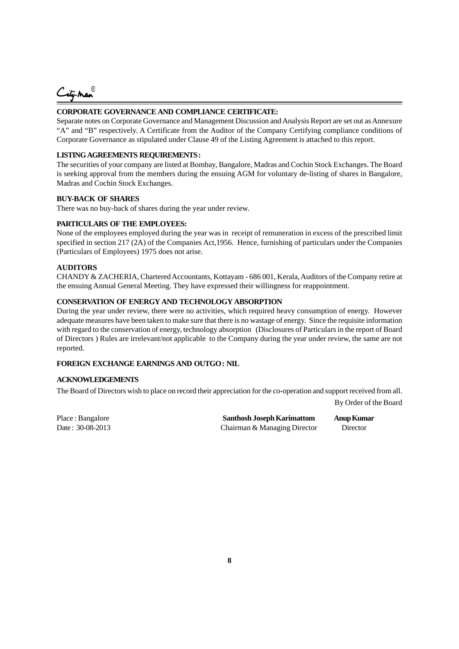City-Man

## **CORPORATE GOVERNANCE AND COMPLIANCE CERTIFICATE:**

Separate notes on Corporate Governance and Management Discussion and Analysis Report are set out as Annexure "A" and "B" respectively. A Certificate from the Auditor of the Company Certifying compliance conditions of Corporate Governance as stipulated under Clause 49 of the Listing Agreement is attached to this report.

## **LISTING AGREEMENTS REQUIREMENTS :**

The securities of your company are listed at Bombay, Bangalore, Madras and Cochin Stock Exchanges. The Board is seeking approval from the members during the ensuing AGM for voluntary de-listing of shares in Bangalore, Madras and Cochin Stock Exchanges.

## **BUY-BACK OF SHARES**

There was no buy-back of shares during the year under review.

## **PARTICULARS OF THE EMPLOYEES:**

None of the employees employed during the year was in receipt of remuneration in excess of the prescribed limit specified in section 217 (2A) of the Companies Act,1956. Hence, furnishing of particulars under the Companies (Particulars of Employees) 1975 does not arise.

## **AUDITORS**

CHANDY & ZACHERIA, Chartered Accountants, Kottayam - 686 001, Kerala, Auditors of the Company retire at the ensuing Annual General Meeting. They have expressed their willingness for reappointment.

## **CONSERVATION OF ENERGY AND TECHNOLOGY ABSORPTION**

During the year under review, there were no activities, which required heavy consumption of energy. However adequate measures have been taken to make sure that there is no wastage of energy. Since the requisite information with regard to the conservation of energy, technology absorption (Disclosures of Particulars in the report of Board of Directors ) Rules are irrelevant/not applicable to the Company during the year under review, the same are not reported.

## **FOREIGN EXCHANGE EARNINGS AND OUTGO: NIL**

## **ACKNOWLEDGEMENTS**

The Board of Directors wish to place on record their appreciation for the co-operation and support received from all.

By Order of the Board

Place : Bangalore **Santhosh Joseph Karimattom Anup Kumar** Date : 30-08-2013 Chairman & Managing Director Director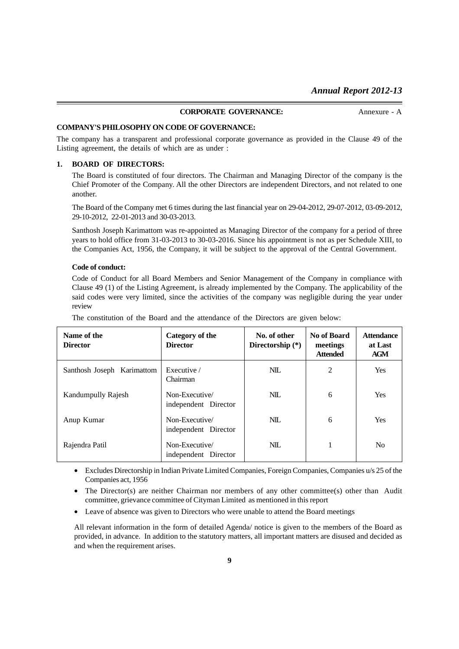#### **CORPORATE GOVERNANCE:**

Annexure - A

#### **COMPANY'S PHILOSOPHY ON CODE OF GOVERNANCE:**

The company has a transparent and professional corporate governance as provided in the Clause 49 of the Listing agreement, the details of which are as under :

## **1. BOARD OF DIRECTORS:**

The Board is constituted of four directors. The Chairman and Managing Director of the company is the Chief Promoter of the Company. All the other Directors are independent Directors, and not related to one another.

The Board of the Company met 6 times during the last financial year on 29-04-2012, 29-07-2012, 03-09-2012, 29-10-2012, 22-01-2013 and 30-03-2013.

Santhosh Joseph Karimattom was re-appointed as Managing Director of the company for a period of three years to hold office from 31-03-2013 to 30-03-2016. Since his appointment is not as per Schedule XIII, to the Companies Act, 1956, the Company, it will be subject to the approval of the Central Government.

## **Code of conduct:**

Code of Conduct for all Board Members and Senior Management of the Company in compliance with Clause 49 (1) of the Listing Agreement, is already implemented by the Company. The applicability of the said codes were very limited, since the activities of the company was negligible during the year under review

| Name of the<br><b>Director</b> | Category of the<br><b>Director</b>     | No. of other<br>Directorship $(*)$ | No of Board<br>meetings<br><b>Attended</b> | <b>Attendance</b><br>at Last<br><b>AGM</b> |
|--------------------------------|----------------------------------------|------------------------------------|--------------------------------------------|--------------------------------------------|
| Santhosh Joseph Karimattom     | Executive /<br>Chairman                | NIL.                               | $\overline{2}$                             | <b>Yes</b>                                 |
| <b>Kandumpully Rajesh</b>      | Non-Executive/<br>independent Director | NIL.                               | 6                                          | <b>Yes</b>                                 |
| Anup Kumar                     | Non-Executive/<br>independent Director | NIL.                               | 6                                          | Yes                                        |
| Rajendra Patil                 | Non-Executive/<br>independent Director | NIL.                               | 1                                          | N <sub>0</sub>                             |

The constitution of the Board and the attendance of the Directors are given below:

- Excludes Directorship in Indian Private Limited Companies, Foreign Companies, Companies u/s 25 of the Companies act, 1956
- The Director(s) are neither Chairman nor members of any other committee(s) other than Audit committee, grievance committee of Cityman Limited as mentioned in this report
- Leave of absence was given to Directors who were unable to attend the Board meetings

All relevant information in the form of detailed Agenda/ notice is given to the members of the Board as provided, in advance. In addition to the statutory matters, all important matters are disused and decided as and when the requirement arises.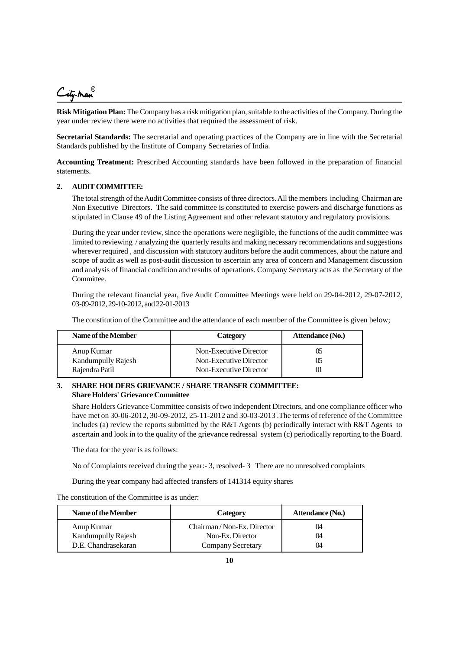City-Man

**Risk Mitigation Plan:** The Company has a risk mitigation plan, suitable to the activities of the Company. During the year under review there were no activities that required the assessment of risk.

**Secretarial Standards:** The secretarial and operating practices of the Company are in line with the Secretarial Standards published by the Institute of Company Secretaries of India.

**Accounting Treatment:** Prescribed Accounting standards have been followed in the preparation of financial statements.

### **2. AUDIT COMMITTEE:**

The total strength of the Audit Committee consists of three directors. All the members including Chairman are Non Executive Directors. The said committee is constituted to exercise powers and discharge functions as stipulated in Clause 49 of the Listing Agreement and other relevant statutory and regulatory provisions.

During the year under review, since the operations were negligible, the functions of the audit committee was limited to reviewing / analyzing the quarterly results and making necessary recommendations and suggestions wherever required , and discussion with statutory auditors before the audit commences, about the nature and scope of audit as well as post-audit discussion to ascertain any area of concern and Management discussion and analysis of financial condition and results of operations. Company Secretary acts as the Secretary of the Committee.

During the relevant financial year, five Audit Committee Meetings were held on 29-04-2012, 29-07-2012, 03-09-2012, 29-10-2012, and 22-01-2013

The constitution of the Committee and the attendance of each member of the Committee is given below;

| Name of the Member                   | <b>Category</b>                                  | <b>Attendance (No.)</b> |
|--------------------------------------|--------------------------------------------------|-------------------------|
| Anup Kumar                           | Non-Executive Director<br>Non-Executive Director | 05<br>05                |
| Kandumpully Rajesh<br>Rajendra Patil | Non-Executive Director                           | 01                      |

## **3. SHARE HOLDERS GRIEVANCE / SHARE TRANSFR COMMITTEE: Share Holders' Grievance Committee**

Share Holders Grievance Committee consists of two independent Directors, and one compliance officer who have met on 30-06-2012, 30-09-2012, 25-11-2012 and 30-03-2013 .The terms of reference of the Committee includes (a) review the reports submitted by the R&T Agents (b) periodically interact with R&T Agents to ascertain and look in to the quality of the grievance redressal system (c) periodically reporting to the Board.

The data for the year is as follows:

No of Complaints received during the year: - 3, resolved- 3 There are no unresolved complaints

During the year company had affected transfers of 141314 equity shares

The constitution of the Committee is as under:

| Name of the Member        | Category                  | <b>Attendance (No.)</b> |
|---------------------------|---------------------------|-------------------------|
| Anup Kumar                | Chairman/Non-Ex. Director | (И                      |
| <b>Kandumpully Rajesh</b> | Non-Ex. Director          | (И                      |
| D.E. Chandrasekaran       | <b>Company Secretary</b>  | ()4                     |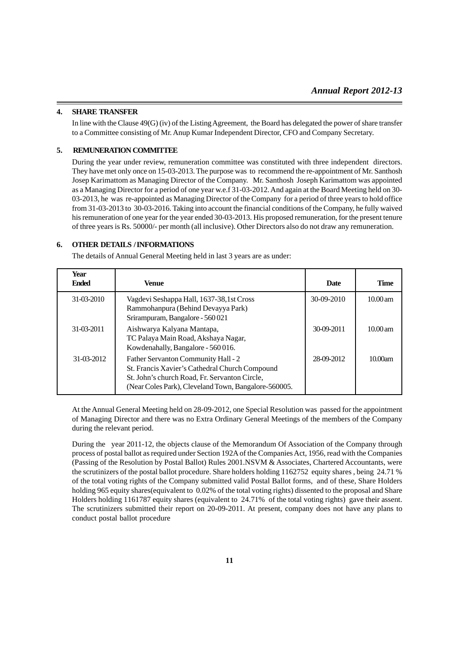#### **4. SHARE TRANSFER**

In line with the Clause  $49(G)$  (iv) of the Listing Agreement, the Board has delegated the power of share transfer to a Committee consisting of Mr. Anup Kumar Independent Director, CFO and Company Secretary.

## **5. REMUNERATION COMMITTEE**

During the year under review, remuneration committee was constituted with three independent directors. They have met only once on 15-03-2013. The purpose was to recommend the re-appointment of Mr. Santhosh Josep Karimattom as Managing Director of the Company. Mr. Santhosh Joseph Karimattom was appointed as a Managing Director for a period of one year w.e.f 31-03-2012. And again at the Board Meeting held on 30- 03-2013, he was re-appointed as Managing Director of the Company for a period of three years to hold office from 31-03-2013 to 30-03-2016. Taking into account the financial conditions of the Company, he fully waived his remuneration of one year for the year ended 30-03-2013. His proposed remuneration, for the present tenure of three years is Rs. 50000/- per month (all inclusive). Other Directors also do not draw any remuneration.

## **6. OTHER DETAILS / INFORMATIONS**

The details of Annual General Meeting held in last 3 years are as under:

| Year<br><b>Ended</b> | Venue                                                                                                                                                                                          | <b>Date</b>  | <b>Time</b>        |
|----------------------|------------------------------------------------------------------------------------------------------------------------------------------------------------------------------------------------|--------------|--------------------|
| 31-03-2010           | Vagdevi Seshappa Hall, 1637-38, 1st Cross<br>Rammohanpura (Behind Devayya Park)<br>Srirampuram, Bangalore - 560 021                                                                            | $30-09-2010$ | $10.00 \text{ am}$ |
| 31-03-2011           | Aishwarya Kalyana Mantapa,<br>TC Palaya Main Road, Akshaya Nagar,<br>Kowdenahally, Bangalore - 560 016.                                                                                        | 30-09-2011   | $10.00 \text{ am}$ |
| 31-03-2012           | Father Servanton Community Hall - 2<br>St. Francis Xavier's Cathedral Church Compound<br>St. John's church Road, Fr. Servanton Circle,<br>(Near Coles Park), Cleveland Town, Bangalore-560005. | 28-09-2012   | 10.00am            |

At the Annual General Meeting held on 28-09-2012, one Special Resolution was passed for the appointment of Managing Director and there was no Extra Ordinary General Meetings of the members of the Company during the relevant period.

During the year 2011-12, the objects clause of the Memorandum Of Association of the Company through process of postal ballot as required under Section 192A of the Companies Act, 1956, read with the Companies (Passing of the Resolution by Postal Ballot) Rules 2001.NSVM & Associates, Chartered Accountants, were the scrutinizers of the postal ballot procedure. Share holders holding 1162752 equity shares , being 24.71 % of the total voting rights of the Company submitted valid Postal Ballot forms, and of these, Share Holders holding 965 equity shares(equivalent to 0.02% of the total voting rights) dissented to the proposal and Share Holders holding 1161787 equity shares (equivalent to 24.71% of the total voting rights) gave their assent. The scrutinizers submitted their report on 20-09-2011. At present, company does not have any plans to conduct postal ballot procedure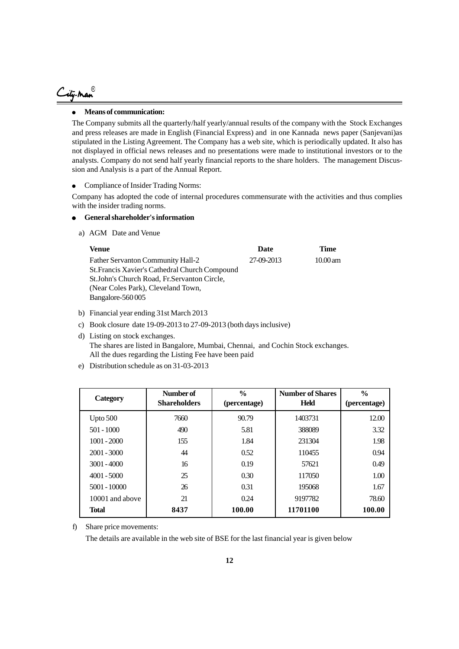# City-man<sup>®</sup>

## **Means of communication:**

The Company submits all the quarterly/half yearly/annual results of the company with the Stock Exchanges and press releases are made in English (Financial Express) and in one Kannada news paper (Sanjevani)as stipulated in the Listing Agreement. The Company has a web site, which is periodically updated. It also has not displayed in official news releases and no presentations were made to institutional investors or to the analysts. Company do not send half yearly financial reports to the share holders. The management Discussion and Analysis is a part of the Annual Report.

• Compliance of Insider Trading Norms:

Company has adopted the code of internal procedures commensurate with the activities and thus complies with the insider trading norms.

## <sup>N</sup> **General shareholder's information**

a) AGM Date and Venue

| Venue                                          | Date       | Time               |
|------------------------------------------------|------------|--------------------|
| Father Servanton Community Hall-2              | 27-09-2013 | $10.00 \text{ am}$ |
| St. Francis Xavier's Cathedral Church Compound |            |                    |
| St.John's Church Road, Fr.Servanton Circle,    |            |                    |
| (Near Coles Park), Cleveland Town,             |            |                    |
| Bangalore-560005                               |            |                    |

- b) Financial year ending 31st March 2013
- c) Book closure date 19-09-2013 to 27-09-2013 (both days inclusive)
- d) Listing on stock exchanges. The shares are listed in Bangalore, Mumbai, Chennai, and Cochin Stock exchanges. All the dues regarding the Listing Fee have been paid
- e) Distribution schedule as on 31-03-2013

| Category        | Number of<br><b>Shareholders</b> | $\frac{6}{9}$<br>(percentage) | <b>Number of Shares</b><br><b>Held</b> | $\frac{6}{6}$<br>(percentage) |
|-----------------|----------------------------------|-------------------------------|----------------------------------------|-------------------------------|
| Upto $500$      | 7660                             | 90.79                         | 1403731                                | 12.00                         |
| $501 - 1000$    | 490                              | 5.81                          | 388089                                 | 3.32                          |
| $1001 - 2000$   | 155                              | 1.84                          | 231304                                 | 1.98                          |
| $2001 - 3000$   | 44                               | 0.52                          | 110455                                 | 0.94                          |
| $3001 - 4000$   | 16                               | 0.19                          | 57621                                  | 0.49                          |
| $4001 - 5000$   | 25                               | 0.30                          | 117050                                 | 1.00                          |
| $5001 - 10000$  | 26                               | 0.31                          | 195068                                 | 1.67                          |
| 10001 and above | 21                               | 0.24                          | 9197782                                | 78.60                         |
| <b>Total</b>    | 8437                             | 100.00                        | 11701100                               | 100.00                        |

f) Share price movements:

The details are available in the web site of BSE for the last financial year is given below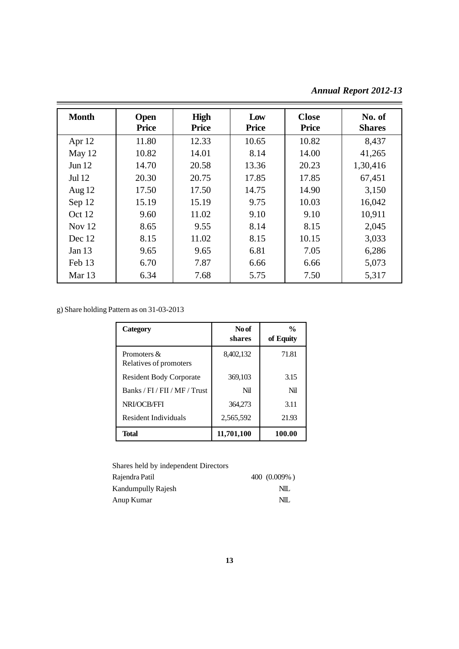| <b>Month</b>      | <b>Open</b><br><b>Price</b> | <b>High</b><br><b>Price</b> | Low<br><b>Price</b> | <b>Close</b><br><b>Price</b> | No. of<br><b>Shares</b> |
|-------------------|-----------------------------|-----------------------------|---------------------|------------------------------|-------------------------|
| Apr 12            | 11.80                       | 12.33                       | 10.65               | 10.82                        | 8,437                   |
| May 12            | 10.82                       | 14.01                       | 8.14                | 14.00                        | 41,265                  |
| Jun $12$          | 14.70                       | 20.58                       | 13.36               | 20.23                        | 1,30,416                |
| <b>Jul 12</b>     | 20.30                       | 20.75                       | 17.85               | 17.85                        | 67,451                  |
| Aug $12$          | 17.50                       | 17.50                       | 14.75               | 14.90                        | 3,150                   |
| Sep 12            | 15.19                       | 15.19                       | 9.75                | 10.03                        | 16,042                  |
| Oct 12            | 9.60                        | 11.02                       | 9.10                | 9.10                         | 10,911                  |
| Nov <sub>12</sub> | 8.65                        | 9.55                        | 8.14                | 8.15                         | 2,045                   |
| Dec 12            | 8.15                        | 11.02                       | 8.15                | 10.15                        | 3,033                   |
| Jan $13$          | 9.65                        | 9.65                        | 6.81                | 7.05                         | 6,286                   |
| Feb 13            | 6.70                        | 7.87                        | 6.66                | 6.66                         | 5,073                   |
| Mar $13$          | 6.34                        | 7.68                        | 5.75                | 7.50                         | 5,317                   |

*Annual Report 2012-13*

g) Share holding Pattern as on 31-03-2013

| <b>Category</b>                          | No of<br>shares | $\frac{0}{0}$<br>of Equity |
|------------------------------------------|-----------------|----------------------------|
| Promoters $\&$<br>Relatives of promoters | 8,402,132       | 71.81                      |
| <b>Resident Body Corporate</b>           | 369,103         | 3.15                       |
| Banks / FI / FII / MF / Trust            | Nil             | Nil                        |
| NRI/OCB/FFI                              | 364,273         | 3.11                       |
| Resident Individuals                     | 2,565,592       | 21.93                      |
| Total                                    | 11,701,100      | 100.00                     |

| Shares held by independent Directors |                |
|--------------------------------------|----------------|
| Rajendra Patil                       | $400(0.009\%)$ |
| Kandumpully Rajesh                   | NII.           |
| Anup Kumar                           | NII.           |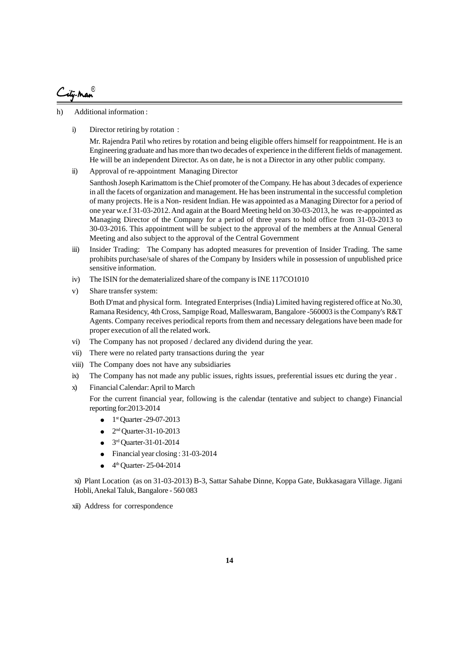City-Man<sup>®</sup>

h) Additional information :

i) Director retiring by rotation :

Mr. Rajendra Patil who retires by rotation and being eligible offers himself for reappointment. He is an Engineering graduate and has more than two decades of experience in the different fields of management. He will be an independent Director. As on date, he is not a Director in any other public company.

ii) Approval of re-appointment Managing Director

Santhosh Joseph Karimattom is the Chief promoter of the Company. He has about 3 decades of experience in all the facets of organization and management. He has been instrumental in the successful completion of many projects. He is a Non- resident Indian. He was appointed as a Managing Director for a period of one year w.e.f 31-03-2012. And again at the Board Meeting held on 30-03-2013, he was re-appointed as Managing Director of the Company for a period of three years to hold office from 31-03-2013 to 30-03-2016. This appointment will be subject to the approval of the members at the Annual General Meeting and also subject to the approval of the Central Government

- iii) Insider Trading: The Company has adopted measures for prevention of Insider Trading. The same prohibits purchase/sale of shares of the Company by Insiders while in possession of unpublished price sensitive information.
- iv) The ISIN for the dematerialized share of the company is INE 117CO1010
- v) Share transfer system:

Both D'mat and physical form. Integrated Enterprises (India) Limited having registered office at No.30, Ramana Residency, 4th Cross, Sampige Road, Malleswaram, Bangalore -560003 is the Company's R&T Agents. Company receives periodical reports from them and necessary delegations have been made for proper execution of all the related work.

- vi) The Company has not proposed / declared any dividend during the year.
- vii) There were no related party transactions during the year
- viii) The Company does not have any subsidiaries
- ix) The Company has not made any public issues, rights issues, preferential issues etc during the year .
- x) Financial Calendar: April to March

For the current financial year, following is the calendar (tentative and subject to change) Financial reporting for:2013-2014

- $\bullet$  1<sup>st</sup> Ouarter -29-07-2013
- 2<sup>nd</sup> Quarter-31-10-2013
- 3rd Quarter-31-01-2014
- $\bullet$  Financial year closing : 31-03-2014
- 4<sup>th</sup> Quarter- 25-04-2014

xi) Plant Location (as on 31-03-2013) B-3, Sattar Sahabe Dinne, Koppa Gate, Bukkasagara Village. Jigani Hobli, Anekal Taluk, Bangalore - 560 083

xii) Address for correspondence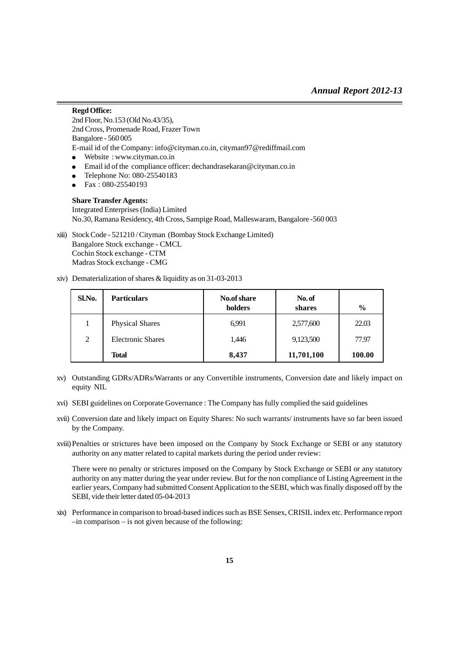#### **Regd Office:**

2nd Floor, No.153 (Old No.43/35), 2nd Cross, Promenade Road, Frazer Town Bangalore - 560 005 E-mail id of the Company: info@cityman.co.in, cityman97@rediffmail.com

- $\bullet$  Website : www.cityman.co.in
- Email id of the compliance officer: dechandrasekaran@cityman.co.in
- Telephone No: 080-25540183
- $\bullet$  Fax : 080-25540193

## **Share Transfer Agents:**

Integrated Enterprises (India) Limited No.30, Ramana Residency, 4th Cross, Sampige Road, Malleswaram, Bangalore -560 003

- xiii) Stock Code 521210 / Cityman (Bombay Stock Exchange Limited) Bangalore Stock exchange - CMCL Cochin Stock exchange - CTM Madras Stock exchange - CMG
- xiv) Dematerialization of shares & liquidity as on 31-03-2013

| Sl.No. | <b>Particulars</b>       | No.of share<br>holders | No. of<br>shares | $\frac{0}{0}$ |
|--------|--------------------------|------------------------|------------------|---------------|
|        | <b>Physical Shares</b>   | 6,991                  | 2,577,600        | 22.03         |
| 2      | <b>Electronic Shares</b> | 1,446                  | 9,123,500        | 77.97         |
|        | <b>Total</b>             | 8,437                  | 11,701,100       | 100.00        |

- xv) Outstanding GDRs/ADRs/Warrants or any Convertible instruments, Conversion date and likely impact on equity NIL
- xvi) SEBI guidelines on Corporate Governance : The Company has fully complied the said guidelines
- xvii) Conversion date and likely impact on Equity Shares: No such warrants/ instruments have so far been issued by the Company.
- xviii)Penalties or strictures have been imposed on the Company by Stock Exchange or SEBI or any statutory authority on any matter related to capital markets during the period under review:

There were no penalty or strictures imposed on the Company by Stock Exchange or SEBI or any statutory authority on any matter during the year under review. But for the non compliance of Listing Agreement in the earlier years, Company had submitted Consent Application to the SEBI, which was finally disposed off by the SEBI, vide their letter dated 05-04-2013

xix) Performance in comparison to broad-based indices such as BSE Sensex, CRISIL index etc. Performance report –in comparison – is not given because of the following: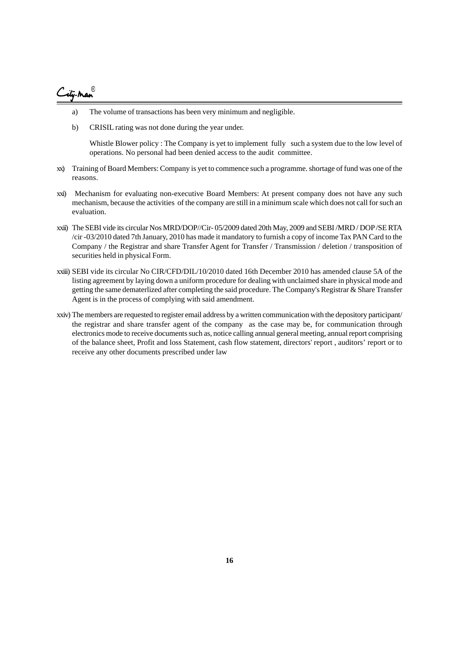.<br>ily-Man<sup>®</sup>

- a) The volume of transactions has been very minimum and negligible.
- b) CRISIL rating was not done during the year under.

Whistle Blower policy : The Company is yet to implement fully such a system due to the low level of operations. No personal had been denied access to the audit committee.

- xx) Training of Board Members: Company is yet to commence such a programme. shortage of fund was one of the reasons.
- xxi) Mechanism for evaluating non-executive Board Members: At present company does not have any such mechanism, because the activities of the company are still in a minimum scale which does not call for such an evaluation.
- xxii) The SEBI vide its circular Nos MRD/DOP//Cir- 05/2009 dated 20th May, 2009 and SEBI /MRD / DOP /SE RTA /cir -03/2010 dated 7th January, 2010 has made it mandatory to furnish a copy of income Tax PAN Card to the Company / the Registrar and share Transfer Agent for Transfer / Transmission / deletion / transposition of securities held in physical Form.
- xxiii) SEBI vide its circular No CIR/CFD/DIL/10/2010 dated 16th December 2010 has amended clause 5A of the listing agreement by laying down a uniform procedure for dealing with unclaimed share in physical mode and getting the same dematerlized after completing the said procedure. The Company's Registrar & Share Transfer Agent is in the process of complying with said amendment.
- xxiv) The members are requested to register email address by a written communication with the depository participant/ the registrar and share transfer agent of the company as the case may be, for communication through electronics mode to receive documents such as, notice calling annual general meeting, annual report comprising of the balance sheet, Profit and loss Statement, cash flow statement, directors' report , auditors' report or to receive any other documents prescribed under law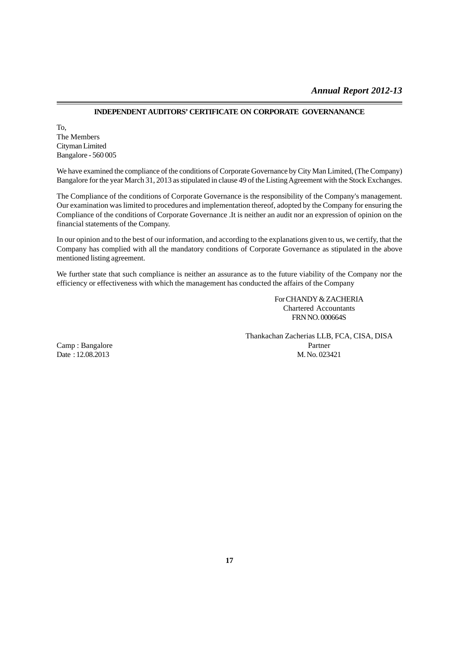## **INDEPENDENT AUDITORS' CERTIFICATE ON CORPORATE GOVERNANANCE**

To, The Members Cityman Limited Bangalore - 560 005

We have examined the compliance of the conditions of Corporate Governance by City Man Limited, (The Company) Bangalore for the year March 31, 2013 as stipulated in clause 49 of the Listing Agreement with the Stock Exchanges.

The Compliance of the conditions of Corporate Governance is the responsibility of the Company's management. Our examination was limited to procedures and implementation thereof, adopted by the Company for ensuring the Compliance of the conditions of Corporate Governance .It is neither an audit nor an expression of opinion on the financial statements of the Company.

In our opinion and to the best of our information, and according to the explanations given to us, we certify, that the Company has complied with all the mandatory conditions of Corporate Governance as stipulated in the above mentioned listing agreement.

We further state that such compliance is neither an assurance as to the future viability of the Company nor the efficiency or effectiveness with which the management has conducted the affairs of the Company

> For CHANDY & ZACHERIA Chartered Accountants FRN NO. 000664S

Thankachan Zacherias LLB, FCA, CISA, DISA Camp : Bangalore Partner Date : 12.08.2013 M. No. 023421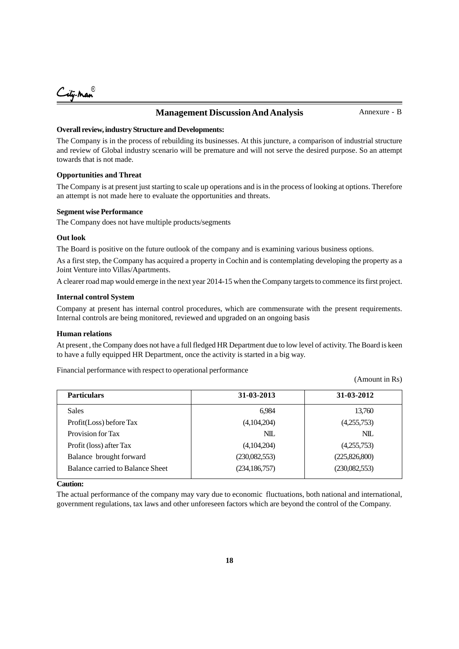.<br>ity-Man ®

## **Management Discussion And Analysis**

Annexure - B

#### **Overall review, industry Structure and Developments:**

The Company is in the process of rebuilding its businesses. At this juncture, a comparison of industrial structure and review of Global industry scenario will be premature and will not serve the desired purpose. So an attempt towards that is not made.

## **Opportunities and Threat**

The Company is at present just starting to scale up operations and is in the process of looking at options. Therefore an attempt is not made here to evaluate the opportunities and threats.

#### **Segment wise Performance**

The Company does not have multiple products/segments

#### **Out look**

The Board is positive on the future outlook of the company and is examining various business options.

As a first step, the Company has acquired a property in Cochin and is contemplating developing the property as a Joint Venture into Villas/Apartments.

A clearer road map would emerge in the next year 2014-15 when the Company targets to commence its first project.

#### **Internal control System**

Company at present has internal control procedures, which are commensurate with the present requirements. Internal controls are being monitored, reviewed and upgraded on an ongoing basis

## **Human relations**

At present , the Company does not have a full fledged HR Department due to low level of activity. The Board is keen to have a fully equipped HR Department, once the activity is started in a big way.

Financial performance with respect to operational performance

(Amount in Rs)

| <b>Particulars</b>               | 31-03-2013      | 31-03-2012    |
|----------------------------------|-----------------|---------------|
| <b>Sales</b>                     | 6.984           | 13,760        |
| Profit(Loss) before Tax          | (4,104,204)     | (4,255,753)   |
| Provision for Tax                | NIL.            | NIL.          |
| Profit (loss) after Tax          | (4,104,204)     | (4,255,753)   |
| Balance brought forward          | (230,082,553)   | (225,826,800) |
| Balance carried to Balance Sheet | (234, 186, 757) | (230,082,553) |

**Caution:**

The actual performance of the company may vary due to economic fluctuations, both national and international, government regulations, tax laws and other unforeseen factors which are beyond the control of the Company.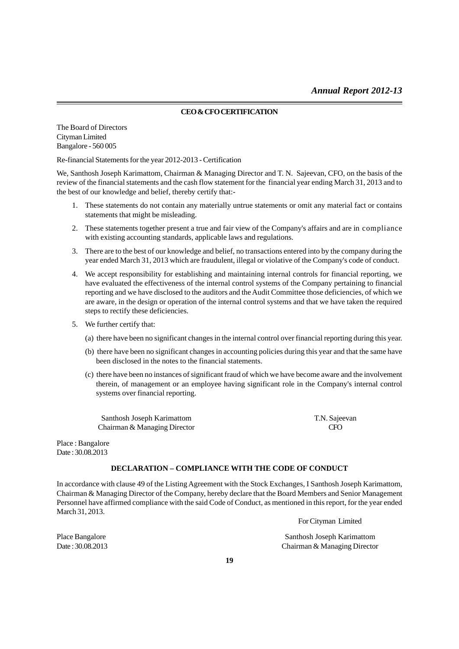#### **CEO & CFO CERTIFICATION**

The Board of Directors Cityman Limited Bangalore - 560 005

Re-financial Statements for the year 2012-2013 - Certification

We, Santhosh Joseph Karimattom, Chairman & Managing Director and T. N. Sajeevan, CFO, on the basis of the review of the financial statements and the cash flow statement for the financial year ending March 31, 2013 and to the best of our knowledge and belief, thereby certify that:-

- 1. These statements do not contain any materially untrue statements or omit any material fact or contains statements that might be misleading.
- 2. These statements together present a true and fair view of the Company's affairs and are in compliance with existing accounting standards, applicable laws and regulations.
- 3. There are to the best of our knowledge and belief, no transactions entered into by the company during the year ended March 31, 2013 which are fraudulent, illegal or violative of the Company's code of conduct.
- 4. We accept responsibility for establishing and maintaining internal controls for financial reporting, we have evaluated the effectiveness of the internal control systems of the Company pertaining to financial reporting and we have disclosed to the auditors and the Audit Committee those deficiencies, of which we are aware, in the design or operation of the internal control systems and that we have taken the required steps to rectify these deficiencies.
- 5. We further certify that:
	- (a) there have been no significant changes in the internal control over financial reporting during this year.
	- (b) there have been no significant changes in accounting policies during this year and that the same have been disclosed in the notes to the financial statements.
	- (c) there have been no instances of significant fraud of which we have become aware and the involvement therein, of management or an employee having significant role in the Company's internal control systems over financial reporting.

Santhosh Joseph Karimattom T.N. Sajeevan Chairman & Managing Director CFO

Place : Bangalore Date : 30.08.2013

## **DECLARATION – COMPLIANCE WITH THE CODE OF CONDUCT**

In accordance with clause 49 of the Listing Agreement with the Stock Exchanges, I Santhosh Joseph Karimattom, Chairman & Managing Director of the Company, hereby declare that the Board Members and Senior Management Personnel have affirmed compliance with the said Code of Conduct, as mentioned in this report, for the year ended March 31, 2013.

For Cityman Limited

Place Bangalore Santhosh Joseph Karimattom<br>
Date : 30.08.2013 Chairman & Managing Director Chairman & Managing Director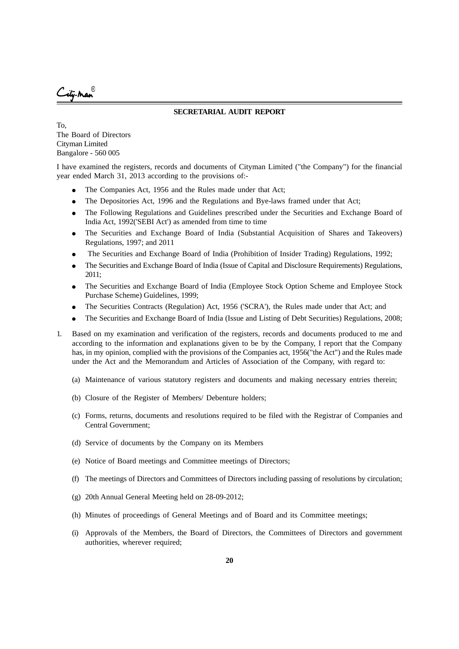$\mathcal{L}$ ily-Man $^\circ$ 

#### **SECRETARIAL AUDIT REPORT**

To, The Board of Directors Cityman Limited Bangalore - 560 005

I have examined the registers, records and documents of Cityman Limited ("the Company") for the financial year ended March 31, 2013 according to the provisions of:-

- The Companies Act, 1956 and the Rules made under that Act;
- The Depositories Act, 1996 and the Regulations and Bye-laws framed under that Act;
- <sup>N</sup> The Following Regulations and Guidelines prescribed under the Securities and Exchange Board of India Act, 1992('SEBI Act') as amended from time to time
- <sup>N</sup> The Securities and Exchange Board of India (Substantial Acquisition of Shares and Takeovers) Regulations, 1997; and 2011
- <sup>N</sup> The Securities and Exchange Board of India (Prohibition of Insider Trading) Regulations, 1992;
- <sup>N</sup> The Securities and Exchange Board of India (Issue of Capital and Disclosure Requirements) Regulations, 2011;
- <sup>N</sup> The Securities and Exchange Board of India (Employee Stock Option Scheme and Employee Stock Purchase Scheme) Guidelines, 1999;
- The Securities Contracts (Regulation) Act, 1956 ('SCRA'), the Rules made under that Act; and
- <sup>N</sup> The Securities and Exchange Board of India (Issue and Listing of Debt Securities) Regulations, 2008;
- 1. Based on my examination and verification of the registers, records and documents produced to me and according to the information and explanations given to be by the Company, I report that the Company has, in my opinion, complied with the provisions of the Companies act, 1956("the Act") and the Rules made under the Act and the Memorandum and Articles of Association of the Company, with regard to:
	- (a) Maintenance of various statutory registers and documents and making necessary entries therein;
	- (b) Closure of the Register of Members/ Debenture holders;
	- (c) Forms, returns, documents and resolutions required to be filed with the Registrar of Companies and Central Government;
	- (d) Service of documents by the Company on its Members
	- (e) Notice of Board meetings and Committee meetings of Directors;
	- (f) The meetings of Directors and Committees of Directors including passing of resolutions by circulation;
	- (g) 20th Annual General Meeting held on 28-09-2012;
	- (h) Minutes of proceedings of General Meetings and of Board and its Committee meetings;
	- (i) Approvals of the Members, the Board of Directors, the Committees of Directors and government authorities, wherever required;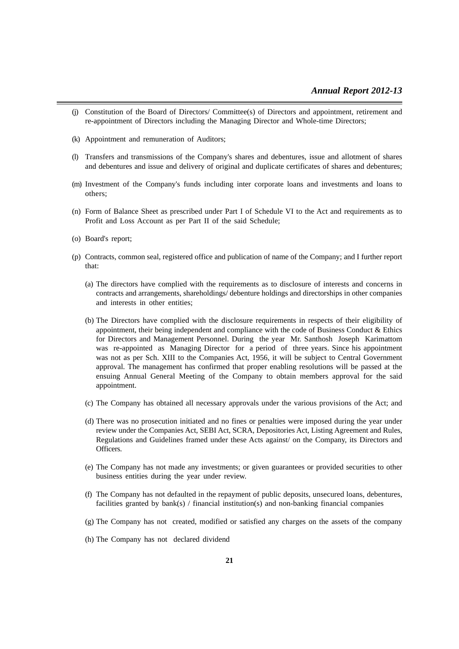- (j) Constitution of the Board of Directors/ Committee(s) of Directors and appointment, retirement and re-appointment of Directors including the Managing Director and Whole-time Directors;
- (k) Appointment and remuneration of Auditors;
- (l) Transfers and transmissions of the Company's shares and debentures, issue and allotment of shares and debentures and issue and delivery of original and duplicate certificates of shares and debentures;
- (m) Investment of the Company's funds including inter corporate loans and investments and loans to others;
- (n) Form of Balance Sheet as prescribed under Part I of Schedule VI to the Act and requirements as to Profit and Loss Account as per Part II of the said Schedule;
- (o) Board's report;
- (p) Contracts, common seal, registered office and publication of name of the Company; and I further report that:
	- (a) The directors have complied with the requirements as to disclosure of interests and concerns in contracts and arrangements, shareholdings/ debenture holdings and directorships in other companies and interests in other entities;
	- (b) The Directors have complied with the disclosure requirements in respects of their eligibility of appointment, their being independent and compliance with the code of Business Conduct  $\&$  Ethics for Directors and Management Personnel. During the year Mr. Santhosh Joseph Karimattom was re-appointed as Managing Director for a period of three years. Since his appointment was not as per Sch. XIII to the Companies Act, 1956, it will be subject to Central Government approval. The management has confirmed that proper enabling resolutions will be passed at the ensuing Annual General Meeting of the Company to obtain members approval for the said appointment.
	- (c) The Company has obtained all necessary approvals under the various provisions of the Act; and
	- (d) There was no prosecution initiated and no fines or penalties were imposed during the year under review under the Companies Act, SEBI Act, SCRA, Depositories Act, Listing Agreement and Rules, Regulations and Guidelines framed under these Acts against/ on the Company, its Directors and Officers.
	- (e) The Company has not made any investments; or given guarantees or provided securities to other business entities during the year under review.
	- (f) The Company has not defaulted in the repayment of public deposits, unsecured loans, debentures, facilities granted by  $bank(s)$  / financial institution(s) and non-banking financial companies
	- (g) The Company has not created, modified or satisfied any charges on the assets of the company
	- (h) The Company has not declared dividend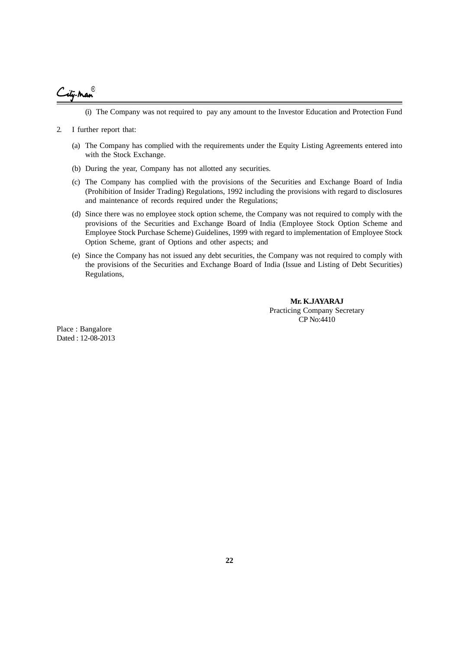

(i) The Company was not required to pay any amount to the Investor Education and Protection Fund

- 2. I further report that:
	- (a) The Company has complied with the requirements under the Equity Listing Agreements entered into with the Stock Exchange.
	- (b) During the year, Company has not allotted any securities.
	- (c) The Company has complied with the provisions of the Securities and Exchange Board of India (Prohibition of Insider Trading) Regulations, 1992 including the provisions with regard to disclosures and maintenance of records required under the Regulations;
	- (d) Since there was no employee stock option scheme, the Company was not required to comply with the provisions of the Securities and Exchange Board of India (Employee Stock Option Scheme and Employee Stock Purchase Scheme) Guidelines, 1999 with regard to implementation of Employee Stock Option Scheme, grant of Options and other aspects; and
	- (e) Since the Company has not issued any debt securities, the Company was not required to comply with the provisions of the Securities and Exchange Board of India (Issue and Listing of Debt Securities) Regulations,

**Mr. K.JAYARAJ** Practicing Company Secretary CP No:4410

Place : Bangalore Dated : 12-08-2013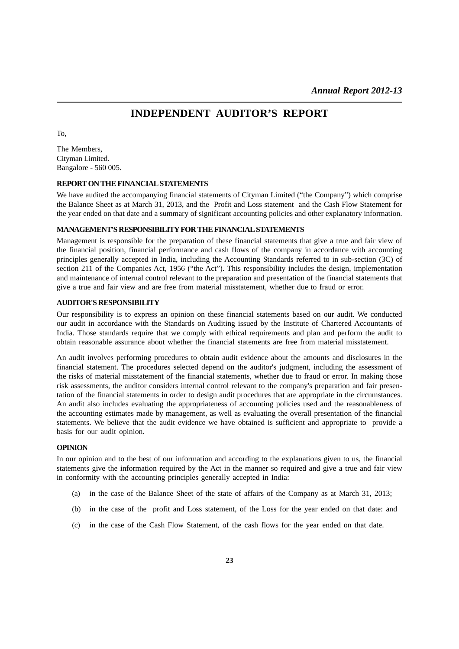# **INDEPENDENT AUDITOR'S REPORT**

To,

The Members, Cityman Limited. Bangalore - 560 005.

#### **REPORT ON THE FINANCIAL STATEMENTS**

We have audited the accompanying financial statements of Cityman Limited ("the Company") which comprise the Balance Sheet as at March 31, 2013, and the Profit and Loss statement and the Cash Flow Statement for the year ended on that date and a summary of significant accounting policies and other explanatory information.

#### **MANAGEMENT'S RESPONSIBILITY FOR THE FINANCIAL STATEMENTS**

Management is responsible for the preparation of these financial statements that give a true and fair view of the financial position, financial performance and cash flows of the company in accordance with accounting principles generally accepted in India, including the Accounting Standards referred to in sub-section (3C) of section 211 of the Companies Act, 1956 ("the Act"). This responsibility includes the design, implementation and maintenance of internal control relevant to the preparation and presentation of the financial statements that give a true and fair view and are free from material misstatement, whether due to fraud or error.

#### **AUDITOR'S RESPONSIBILITY**

Our responsibility is to express an opinion on these financial statements based on our audit. We conducted our audit in accordance with the Standards on Auditing issued by the Institute of Chartered Accountants of India. Those standards require that we comply with ethical requirements and plan and perform the audit to obtain reasonable assurance about whether the financial statements are free from material misstatement.

An audit involves performing procedures to obtain audit evidence about the amounts and disclosures in the financial statement. The procedures selected depend on the auditor's judgment, including the assessment of the risks of material misstatement of the financial statements, whether due to fraud or error. In making those risk assessments, the auditor considers internal control relevant to the company's preparation and fair presentation of the financial statements in order to design audit procedures that are appropriate in the circumstances. An audit also includes evaluating the appropriateness of accounting policies used and the reasonableness of the accounting estimates made by management, as well as evaluating the overall presentation of the financial statements. We believe that the audit evidence we have obtained is sufficient and appropriate to provide a basis for our audit opinion.

## **OPINION**

In our opinion and to the best of our information and according to the explanations given to us, the financial statements give the information required by the Act in the manner so required and give a true and fair view in conformity with the accounting principles generally accepted in India:

- (a) in the case of the Balance Sheet of the state of affairs of the Company as at March 31, 2013;
- (b) in the case of the profit and Loss statement, of the Loss for the year ended on that date: and
- (c) in the case of the Cash Flow Statement, of the cash flows for the year ended on that date.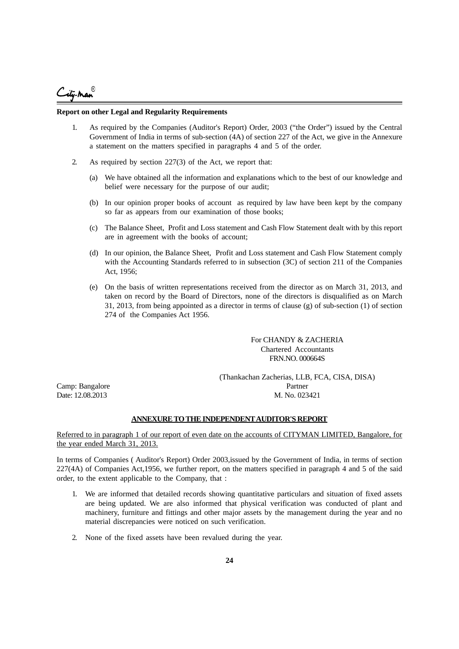# City-Man

#### **Report on other Legal and Regularity Requirements**

- 1. As required by the Companies (Auditor's Report) Order, 2003 ("the Order") issued by the Central Government of India in terms of sub-section (4A) of section 227 of the Act, we give in the Annexure a statement on the matters specified in paragraphs 4 and 5 of the order.
- 2. As required by section 227(3) of the Act, we report that:
	- (a) We have obtained all the information and explanations which to the best of our knowledge and belief were necessary for the purpose of our audit;
	- (b) In our opinion proper books of account as required by law have been kept by the company so far as appears from our examination of those books;
	- (c) The Balance Sheet, Profit and Loss statement and Cash Flow Statement dealt with by this report are in agreement with the books of account;
	- (d) In our opinion, the Balance Sheet, Profit and Loss statement and Cash Flow Statement comply with the Accounting Standards referred to in subsection (3C) of section 211 of the Companies Act, 1956;
	- (e) On the basis of written representations received from the director as on March 31, 2013, and taken on record by the Board of Directors, none of the directors is disqualified as on March 31, 2013, from being appointed as a director in terms of clause (g) of sub-section (1) of section 274 of the Companies Act 1956.

For CHANDY & ZACHERIA Chartered Accountants FRN.NO. 000664S

(Thankachan Zacherias, LLB, FCA, CISA, DISA) Camp: Bangalore Partner Date: 12.08.2013 M. No. 023421

## **ANNEXURE TO THE INDEPENDENTAUDITOR'S REPORT**

Referred to in paragraph 1 of our report of even date on the accounts of CITYMAN LIMITED, Bangalore, for the year ended March 31, 2013.

In terms of Companies ( Auditor's Report) Order 2003,issued by the Government of India, in terms of section 227(4A) of Companies Act,1956, we further report, on the matters specified in paragraph 4 and 5 of the said order, to the extent applicable to the Company, that :

- 1. We are informed that detailed records showing quantitative particulars and situation of fixed assets are being updated. We are also informed that physical verification was conducted of plant and machinery, furniture and fittings and other major assets by the management during the year and no material discrepancies were noticed on such verification.
- 2. None of the fixed assets have been revalued during the year.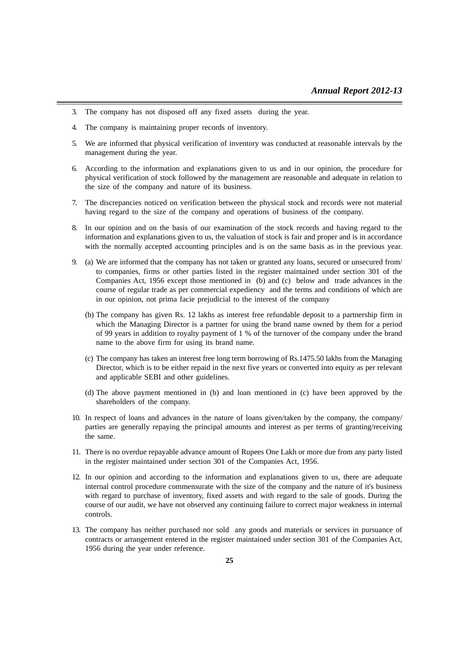- 3. The company has not disposed off any fixed assets during the year.
- 4. The company is maintaining proper records of inventory.
- 5. We are informed that physical verification of inventory was conducted at reasonable intervals by the management during the year.
- 6. According to the information and explanations given to us and in our opinion, the procedure for physical verification of stock followed by the management are reasonable and adequate in relation to the size of the company and nature of its business.
- 7. The discrepancies noticed on verification between the physical stock and records were not material having regard to the size of the company and operations of business of the company.
- 8. In our opinion and on the basis of our examination of the stock records and having regard to the information and explanations given to us, the valuation of stock is fair and proper and is in accordance with the normally accepted accounting principles and is on the same basis as in the previous year.
- 9. (a) We are informed that the company has not taken or granted any loans, secured or unsecured from/ to companies, firms or other parties listed in the register maintained under section 301 of the Companies Act, 1956 except those mentioned in (b) and (c) below and trade advances in the course of regular trade as per commercial expediency and the terms and conditions of which are in our opinion, not prima facie prejudicial to the interest of the company
	- (b) The company has given Rs. 12 lakhs as interest free refundable deposit to a partnership firm in which the Managing Director is a partner for using the brand name owned by them for a period of 99 years in addition to royalty payment of 1 % of the turnover of the company under the brand name to the above firm for using its brand name.
	- (c) The company has taken an interest free long term borrowing of Rs.1475.50 lakhs from the Managing Director, which is to be either repaid in the next five years or converted into equity as per relevant and applicable SEBI and other guidelines.
	- (d) The above payment mentioned in (b) and loan mentioned in (c) have been approved by the shareholders of the company.
- 10. In respect of loans and advances in the nature of loans given/taken by the company, the company/ parties are generally repaying the principal amounts and interest as per terms of granting/receiving the same.
- 11. There is no overdue repayable advance amount of Rupees One Lakh or more due from any party listed in the register maintained under section 301 of the Companies Act, 1956.
- 12. In our opinion and according to the information and explanations given to us, there are adequate internal control procedure commensurate with the size of the company and the nature of it's business with regard to purchase of inventory, fixed assets and with regard to the sale of goods. During the course of our audit, we have not observed any continuing failure to correct major weakness in internal controls.
- 13. The company has neither purchased nor sold any goods and materials or services in pursuance of contracts or arrangement entered in the register maintained under section 301 of the Companies Act, 1956 during the year under reference.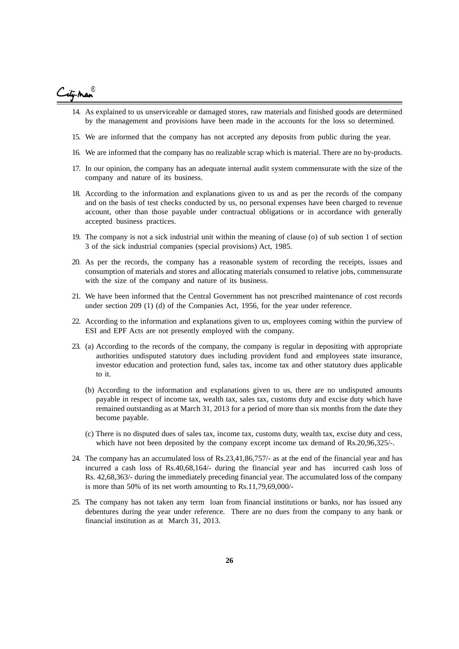City-Man®

- 14. As explained to us unserviceable or damaged stores, raw materials and finished goods are determined by the management and provisions have been made in the accounts for the loss so determined.
- 15. We are informed that the company has not accepted any deposits from public during the year.
- 16. We are informed that the company has no realizable scrap which is material. There are no by-products.
- 17. In our opinion, the company has an adequate internal audit system commensurate with the size of the company and nature of its business.
- 18. According to the information and explanations given to us and as per the records of the company and on the basis of test checks conducted by us, no personal expenses have been charged to revenue account, other than those payable under contractual obligations or in accordance with generally accepted business practices.
- 19. The company is not a sick industrial unit within the meaning of clause (o) of sub section 1 of section 3 of the sick industrial companies (special provisions) Act, 1985.
- 20. As per the records, the company has a reasonable system of recording the receipts, issues and consumption of materials and stores and allocating materials consumed to relative jobs, commensurate with the size of the company and nature of its business.
- 21. We have been informed that the Central Government has not prescribed maintenance of cost records under section 209 (1) (d) of the Companies Act, 1956, for the year under reference.
- 22. According to the information and explanations given to us, employees coming within the purview of ESI and EPF Acts are not presently employed with the company.
- 23. (a) According to the records of the company, the company is regular in depositing with appropriate authorities undisputed statutory dues including provident fund and employees state insurance, investor education and protection fund, sales tax, income tax and other statutory dues applicable to it.
	- (b) According to the information and explanations given to us, there are no undisputed amounts payable in respect of income tax, wealth tax, sales tax, customs duty and excise duty which have remained outstanding as at March 31, 2013 for a period of more than six months from the date they become payable.
	- (c) There is no disputed dues of sales tax, income tax, customs duty, wealth tax, excise duty and cess, which have not been deposited by the company except income tax demand of Rs.20,96,325/-.
- 24. The company has an accumulated loss of Rs.23,41,86,757/- as at the end of the financial year and has incurred a cash loss of Rs.40,68,164/- during the financial year and has incurred cash loss of Rs. 42,68,363/- during the immediately preceding financial year. The accumulated loss of the company is more than 50% of its net worth amounting to Rs.11,79,69,000/-
- 25. The company has not taken any term loan from financial institutions or banks, nor has issued any debentures during the year under reference. There are no dues from the company to any bank or financial institution as at March 31, 2013.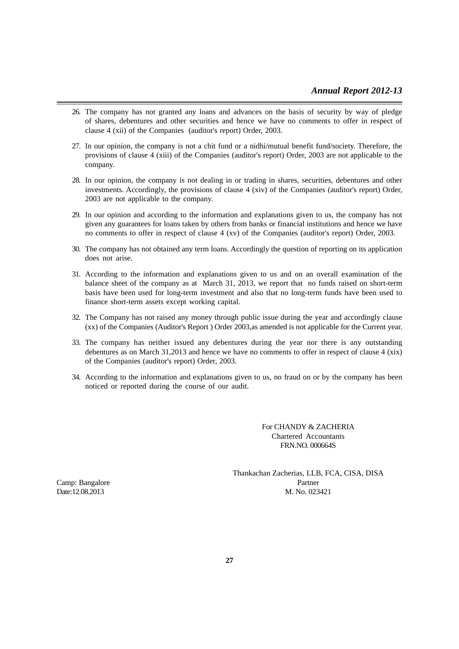- 26. The company has not granted any loans and advances on the basis of security by way of pledge of shares, debentures and other securities and hence we have no comments to offer in respect of clause 4 (xii) of the Companies (auditor's report) Order, 2003.
- 27. In our opinion, the company is not a chit fund or a nidhi/mutual benefit fund/society. Therefore, the provisions of clause 4 (xiii) of the Companies (auditor's report) Order, 2003 are not applicable to the company.
- 28. In our opinion, the company is not dealing in or trading in shares, securities, debentures and other investments. Accordingly, the provisions of clause 4 (xiv) of the Companies (auditor's report) Order, 2003 are not applicable to the company.
- 29. In our opinion and according to the information and explanations given to us, the company has not given any guarantees for loans taken by others from banks or financial institutions and hence we have no comments to offer in respect of clause 4 (xv) of the Companies (auditor's report) Order, 2003.
- 30. The company has not obtained any term loans. Accordingly the question of reporting on its application does not arise.
- 31. According to the information and explanations given to us and on an overall examination of the balance sheet of the company as at March 31, 2013, we report that no funds raised on short-term basis have been used for long-term investment and also that no long-term funds have been used to finance short-term assets except working capital.
- 32. The Company has not raised any money through public issue during the year and accordingly clause (xx) of the Companies (Auditor's Report ) Order 2003,as amended is not applicable for the Current year.
- 33. The company has neither issued any debentures during the year nor there is any outstanding debentures as on March 31,2013 and hence we have no comments to offer in respect of clause 4 (xix) of the Companies (auditor's report) Order, 2003.
- 34. According to the information and explanations given to us, no fraud on or by the company has been noticed or reported during the course of our audit.

For CHANDY & ZACHERIA Chartered Accountants FRN.NO. 000664S

Thankachan Zacherias, LLB, FCA, CISA, DISA Camp: Bangalore Partner Date:12.08.2013 M. No. 023421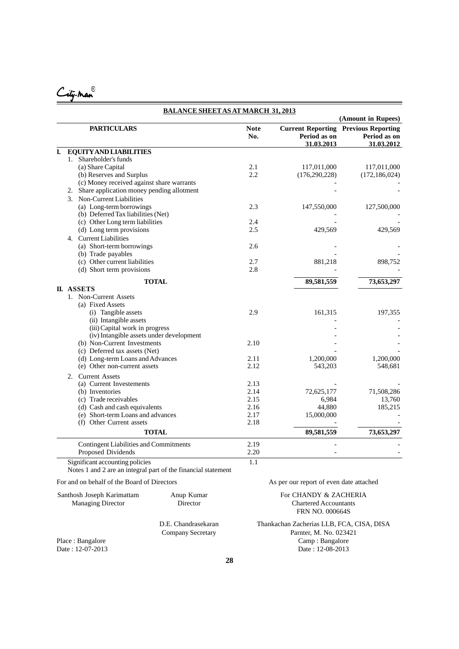City-Man

|    |                                               |                    |                            | (Amount in Rupees)                                                        |
|----|-----------------------------------------------|--------------------|----------------------------|---------------------------------------------------------------------------|
|    | <b>PARTICULARS</b>                            | <b>Note</b><br>No. | Period as on<br>31.03.2013 | <b>Current Reporting Previous Reporting</b><br>Period as on<br>31.03.2012 |
| I. | <b>EQUITY AND LIABILITIES</b>                 |                    |                            |                                                                           |
|    | 1. Shareholder's funds                        |                    |                            |                                                                           |
|    | (a) Share Capital                             | 2.1                | 117,011,000                | 117,011,000                                                               |
|    | (b) Reserves and Surplus                      | 2.2                | (176, 290, 228)            | (172, 186, 024)                                                           |
|    | (c) Money received against share warrants     |                    |                            |                                                                           |
|    | 2. Share application money pending allotment  |                    |                            |                                                                           |
|    | 3. Non-Current Liabilities                    |                    |                            |                                                                           |
|    | (a) Long-term borrowings                      | 2.3                | 147,550,000                | 127,500,000                                                               |
|    | (b) Deferred Tax liabilities (Net)            |                    |                            |                                                                           |
|    | (c) Other Long term liabilities               | 2.4                |                            |                                                                           |
|    | (d) Long term provisions                      | 2.5                | 429,569                    | 429,569                                                                   |
|    | 4. Current Liabilities                        |                    |                            |                                                                           |
|    | (a) Short-term borrowings                     | 2.6                |                            |                                                                           |
|    | (b) Trade payables                            |                    |                            |                                                                           |
|    | (c) Other current liabilities                 | 2.7                | 881,218                    | 898,752                                                                   |
|    | (d) Short term provisions                     | 2.8                |                            |                                                                           |
|    | <b>TOTAL</b>                                  |                    | 89,581,559                 | 73,653,297                                                                |
|    | II. ASSETS                                    |                    |                            |                                                                           |
|    | 1. Non-Current Assets                         |                    |                            |                                                                           |
|    | (a) Fixed Assets                              |                    |                            |                                                                           |
|    | (i) Tangible assets                           | 2.9                | 161,315                    | 197,355                                                                   |
|    | (ii) Intangible assets                        |                    |                            |                                                                           |
|    | (iii) Capital work in progress                |                    |                            |                                                                           |
|    | (iv) Intangible assets under development      |                    |                            |                                                                           |
|    | (b) Non-Current Investments                   | 2.10               |                            |                                                                           |
|    | (c) Deferred tax assets (Net)                 |                    |                            |                                                                           |
|    | (d) Long-term Loans and Advances              | 2.11               | 1,200,000                  | 1,200,000                                                                 |
|    | (e) Other non-current assets                  | 2.12               | 543,203                    | 548,681                                                                   |
|    | <b>Current Assets</b><br>2.                   |                    |                            |                                                                           |
|    | (a) Current Investements                      | 2.13               |                            |                                                                           |
|    | (b) Inventories                               | 2.14               | 72,625,177                 | 71,508,286                                                                |
|    | (c) Trade receivables                         | 2.15               | 6,984                      | 13,760                                                                    |
|    | (d) Cash and cash equivalents                 | 2.16               | 44,880                     | 185,215                                                                   |
|    | (e) Short-term Loans and advances             | 2.17               | 15,000,000                 |                                                                           |
|    | (f) Other Current assets                      | 2.18               |                            |                                                                           |
|    | <b>TOTAL</b>                                  |                    | 89,581,559                 | 73,653,297                                                                |
|    | <b>Contingent Liabilities and Commitments</b> | 2.19               |                            |                                                                           |
|    | Proposed Dividends                            | 2.20               |                            |                                                                           |
|    |                                               |                    |                            |                                                                           |

For and on behalf of the Board of Directors As per our report of even date attached

Santhosh Joseph Karimattam Anup Kumar For CHANDY & ZACHERIA<br>Managing Director Director Chartered Accountants

Chartered Accountants FRN NO. 000664S

D.E. Chandrasekaran Thankachan Zacherias LLB, FCA, CISA, DISA Company Secretary Parnter, M. No. 023421 Place : Bangalore Camp : Bangalore Camp : Bangalore Camp : Bangalore Camp : Bangalore Camp : Bangalore Camp : Camp : Bangalore Camp : Camp : Bangalore Camp : Camp : Bangalore Camp : Camp : Bangalore Camp : Camp : Camp : Ca Date : 12-07-2013 Date : 12-08-2013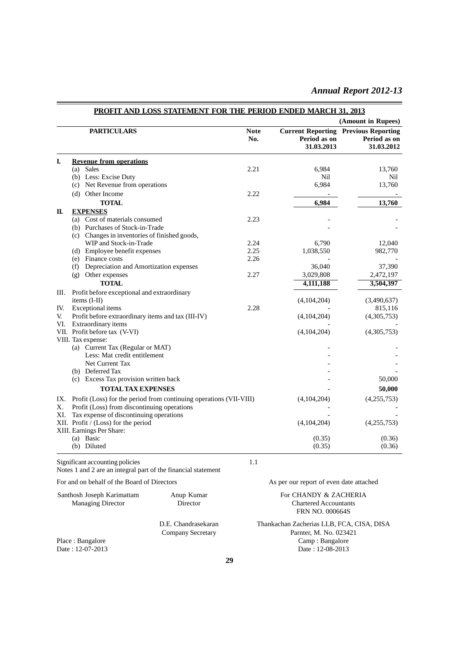# *Annual Report 2012-13*

| (Amount in Rupees)<br><b>PARTICULARS</b><br><b>Current Reporting Previous Reporting</b><br><b>Note</b><br>No.<br>Period as on<br>Period as on<br>31.03.2013<br>31.03.2012<br>I.<br><b>Revenue from operations</b><br>(a) Sales<br>2.21<br>6,984<br>13,760<br>(b) Less: Excise Duty<br>Nil<br>Nil<br>(c) Net Revenue from operations<br>6,984<br>13,760<br>2.22<br>(d) Other Income<br><b>TOTAL</b><br>6,984<br>13,760<br>П.<br><b>EXPENSES</b><br>(a) Cost of materials consumed<br>2.23<br>(b) Purchases of Stock-in-Trade<br>(c) Changes in inventories of finished goods,<br>WIP and Stock-in-Trade<br>2.24<br>12,040<br>6,790<br>2.25<br>(d) Employee benefit expenses<br>1,038,550<br>982,770<br>(e) Finance costs<br>2.26<br>(f) Depreciation and Amortization expenses<br>36,040<br>37,390<br>Other expenses<br>2.27<br>3,029,808<br>2,472,197<br>(g)<br><b>TOTAL</b><br>3,504,397<br>4,111,188<br>Profit before exceptional and extraordinary<br>Ш.<br>items (I-II)<br>(4,104,204)<br>(3,490,637)<br>Exceptional items<br>2.28<br>815,116<br>IV.<br>V.<br>Profit before extraordinary items and tax (III-IV)<br>(4,104,204)<br>(4,305,753)<br>VI. Extraordinary items<br>VII. Profit before tax (V-VI)<br>(4,104,204)<br>(4,305,753)<br>VIII. Tax expense:<br>(a) Current Tax (Regular or MAT)<br>Less: Mat credit entitlement<br>Net Current Tax<br>(b) Deferred Tax<br>(c) Excess Tax provision written back<br>50,000<br><b>TOTAL TAX EXPENSES</b><br>50,000<br>IX. Profit (Loss) for the period from continuing operations (VII-VIII)<br>(4,104,204)<br>(4,255,753)<br>Profit (Loss) from discontinuing operations<br>X.<br>Tax expense of discontinuing operations<br>XI.<br>XII. Profit / (Loss) for the period<br>(4,104,204)<br>(4,255,753)<br>XIII. Earnings Per Share:<br>(a) Basic<br>(0.36)<br>(0.35)<br>(b) Diluted<br>(0.35)<br>(0.36) | <b>PROFIT AND LOSS STATEMENT FOR THE PERIOD ENDED MARCH 31, 2013</b> |  |  |
|--------------------------------------------------------------------------------------------------------------------------------------------------------------------------------------------------------------------------------------------------------------------------------------------------------------------------------------------------------------------------------------------------------------------------------------------------------------------------------------------------------------------------------------------------------------------------------------------------------------------------------------------------------------------------------------------------------------------------------------------------------------------------------------------------------------------------------------------------------------------------------------------------------------------------------------------------------------------------------------------------------------------------------------------------------------------------------------------------------------------------------------------------------------------------------------------------------------------------------------------------------------------------------------------------------------------------------------------------------------------------------------------------------------------------------------------------------------------------------------------------------------------------------------------------------------------------------------------------------------------------------------------------------------------------------------------------------------------------------------------------------------------------------------------------------------------------------------------------------------|----------------------------------------------------------------------|--|--|
|                                                                                                                                                                                                                                                                                                                                                                                                                                                                                                                                                                                                                                                                                                                                                                                                                                                                                                                                                                                                                                                                                                                                                                                                                                                                                                                                                                                                                                                                                                                                                                                                                                                                                                                                                                                                                                                              |                                                                      |  |  |
|                                                                                                                                                                                                                                                                                                                                                                                                                                                                                                                                                                                                                                                                                                                                                                                                                                                                                                                                                                                                                                                                                                                                                                                                                                                                                                                                                                                                                                                                                                                                                                                                                                                                                                                                                                                                                                                              |                                                                      |  |  |
|                                                                                                                                                                                                                                                                                                                                                                                                                                                                                                                                                                                                                                                                                                                                                                                                                                                                                                                                                                                                                                                                                                                                                                                                                                                                                                                                                                                                                                                                                                                                                                                                                                                                                                                                                                                                                                                              |                                                                      |  |  |
|                                                                                                                                                                                                                                                                                                                                                                                                                                                                                                                                                                                                                                                                                                                                                                                                                                                                                                                                                                                                                                                                                                                                                                                                                                                                                                                                                                                                                                                                                                                                                                                                                                                                                                                                                                                                                                                              |                                                                      |  |  |
|                                                                                                                                                                                                                                                                                                                                                                                                                                                                                                                                                                                                                                                                                                                                                                                                                                                                                                                                                                                                                                                                                                                                                                                                                                                                                                                                                                                                                                                                                                                                                                                                                                                                                                                                                                                                                                                              |                                                                      |  |  |
|                                                                                                                                                                                                                                                                                                                                                                                                                                                                                                                                                                                                                                                                                                                                                                                                                                                                                                                                                                                                                                                                                                                                                                                                                                                                                                                                                                                                                                                                                                                                                                                                                                                                                                                                                                                                                                                              |                                                                      |  |  |
|                                                                                                                                                                                                                                                                                                                                                                                                                                                                                                                                                                                                                                                                                                                                                                                                                                                                                                                                                                                                                                                                                                                                                                                                                                                                                                                                                                                                                                                                                                                                                                                                                                                                                                                                                                                                                                                              |                                                                      |  |  |
|                                                                                                                                                                                                                                                                                                                                                                                                                                                                                                                                                                                                                                                                                                                                                                                                                                                                                                                                                                                                                                                                                                                                                                                                                                                                                                                                                                                                                                                                                                                                                                                                                                                                                                                                                                                                                                                              |                                                                      |  |  |
|                                                                                                                                                                                                                                                                                                                                                                                                                                                                                                                                                                                                                                                                                                                                                                                                                                                                                                                                                                                                                                                                                                                                                                                                                                                                                                                                                                                                                                                                                                                                                                                                                                                                                                                                                                                                                                                              |                                                                      |  |  |
|                                                                                                                                                                                                                                                                                                                                                                                                                                                                                                                                                                                                                                                                                                                                                                                                                                                                                                                                                                                                                                                                                                                                                                                                                                                                                                                                                                                                                                                                                                                                                                                                                                                                                                                                                                                                                                                              |                                                                      |  |  |
|                                                                                                                                                                                                                                                                                                                                                                                                                                                                                                                                                                                                                                                                                                                                                                                                                                                                                                                                                                                                                                                                                                                                                                                                                                                                                                                                                                                                                                                                                                                                                                                                                                                                                                                                                                                                                                                              |                                                                      |  |  |
|                                                                                                                                                                                                                                                                                                                                                                                                                                                                                                                                                                                                                                                                                                                                                                                                                                                                                                                                                                                                                                                                                                                                                                                                                                                                                                                                                                                                                                                                                                                                                                                                                                                                                                                                                                                                                                                              |                                                                      |  |  |
|                                                                                                                                                                                                                                                                                                                                                                                                                                                                                                                                                                                                                                                                                                                                                                                                                                                                                                                                                                                                                                                                                                                                                                                                                                                                                                                                                                                                                                                                                                                                                                                                                                                                                                                                                                                                                                                              |                                                                      |  |  |
|                                                                                                                                                                                                                                                                                                                                                                                                                                                                                                                                                                                                                                                                                                                                                                                                                                                                                                                                                                                                                                                                                                                                                                                                                                                                                                                                                                                                                                                                                                                                                                                                                                                                                                                                                                                                                                                              |                                                                      |  |  |
|                                                                                                                                                                                                                                                                                                                                                                                                                                                                                                                                                                                                                                                                                                                                                                                                                                                                                                                                                                                                                                                                                                                                                                                                                                                                                                                                                                                                                                                                                                                                                                                                                                                                                                                                                                                                                                                              |                                                                      |  |  |
|                                                                                                                                                                                                                                                                                                                                                                                                                                                                                                                                                                                                                                                                                                                                                                                                                                                                                                                                                                                                                                                                                                                                                                                                                                                                                                                                                                                                                                                                                                                                                                                                                                                                                                                                                                                                                                                              |                                                                      |  |  |
|                                                                                                                                                                                                                                                                                                                                                                                                                                                                                                                                                                                                                                                                                                                                                                                                                                                                                                                                                                                                                                                                                                                                                                                                                                                                                                                                                                                                                                                                                                                                                                                                                                                                                                                                                                                                                                                              |                                                                      |  |  |
|                                                                                                                                                                                                                                                                                                                                                                                                                                                                                                                                                                                                                                                                                                                                                                                                                                                                                                                                                                                                                                                                                                                                                                                                                                                                                                                                                                                                                                                                                                                                                                                                                                                                                                                                                                                                                                                              |                                                                      |  |  |
|                                                                                                                                                                                                                                                                                                                                                                                                                                                                                                                                                                                                                                                                                                                                                                                                                                                                                                                                                                                                                                                                                                                                                                                                                                                                                                                                                                                                                                                                                                                                                                                                                                                                                                                                                                                                                                                              |                                                                      |  |  |
|                                                                                                                                                                                                                                                                                                                                                                                                                                                                                                                                                                                                                                                                                                                                                                                                                                                                                                                                                                                                                                                                                                                                                                                                                                                                                                                                                                                                                                                                                                                                                                                                                                                                                                                                                                                                                                                              |                                                                      |  |  |
|                                                                                                                                                                                                                                                                                                                                                                                                                                                                                                                                                                                                                                                                                                                                                                                                                                                                                                                                                                                                                                                                                                                                                                                                                                                                                                                                                                                                                                                                                                                                                                                                                                                                                                                                                                                                                                                              |                                                                      |  |  |
|                                                                                                                                                                                                                                                                                                                                                                                                                                                                                                                                                                                                                                                                                                                                                                                                                                                                                                                                                                                                                                                                                                                                                                                                                                                                                                                                                                                                                                                                                                                                                                                                                                                                                                                                                                                                                                                              |                                                                      |  |  |
|                                                                                                                                                                                                                                                                                                                                                                                                                                                                                                                                                                                                                                                                                                                                                                                                                                                                                                                                                                                                                                                                                                                                                                                                                                                                                                                                                                                                                                                                                                                                                                                                                                                                                                                                                                                                                                                              |                                                                      |  |  |
|                                                                                                                                                                                                                                                                                                                                                                                                                                                                                                                                                                                                                                                                                                                                                                                                                                                                                                                                                                                                                                                                                                                                                                                                                                                                                                                                                                                                                                                                                                                                                                                                                                                                                                                                                                                                                                                              |                                                                      |  |  |
|                                                                                                                                                                                                                                                                                                                                                                                                                                                                                                                                                                                                                                                                                                                                                                                                                                                                                                                                                                                                                                                                                                                                                                                                                                                                                                                                                                                                                                                                                                                                                                                                                                                                                                                                                                                                                                                              |                                                                      |  |  |
|                                                                                                                                                                                                                                                                                                                                                                                                                                                                                                                                                                                                                                                                                                                                                                                                                                                                                                                                                                                                                                                                                                                                                                                                                                                                                                                                                                                                                                                                                                                                                                                                                                                                                                                                                                                                                                                              |                                                                      |  |  |
|                                                                                                                                                                                                                                                                                                                                                                                                                                                                                                                                                                                                                                                                                                                                                                                                                                                                                                                                                                                                                                                                                                                                                                                                                                                                                                                                                                                                                                                                                                                                                                                                                                                                                                                                                                                                                                                              |                                                                      |  |  |
|                                                                                                                                                                                                                                                                                                                                                                                                                                                                                                                                                                                                                                                                                                                                                                                                                                                                                                                                                                                                                                                                                                                                                                                                                                                                                                                                                                                                                                                                                                                                                                                                                                                                                                                                                                                                                                                              |                                                                      |  |  |
|                                                                                                                                                                                                                                                                                                                                                                                                                                                                                                                                                                                                                                                                                                                                                                                                                                                                                                                                                                                                                                                                                                                                                                                                                                                                                                                                                                                                                                                                                                                                                                                                                                                                                                                                                                                                                                                              |                                                                      |  |  |
|                                                                                                                                                                                                                                                                                                                                                                                                                                                                                                                                                                                                                                                                                                                                                                                                                                                                                                                                                                                                                                                                                                                                                                                                                                                                                                                                                                                                                                                                                                                                                                                                                                                                                                                                                                                                                                                              |                                                                      |  |  |
|                                                                                                                                                                                                                                                                                                                                                                                                                                                                                                                                                                                                                                                                                                                                                                                                                                                                                                                                                                                                                                                                                                                                                                                                                                                                                                                                                                                                                                                                                                                                                                                                                                                                                                                                                                                                                                                              |                                                                      |  |  |
|                                                                                                                                                                                                                                                                                                                                                                                                                                                                                                                                                                                                                                                                                                                                                                                                                                                                                                                                                                                                                                                                                                                                                                                                                                                                                                                                                                                                                                                                                                                                                                                                                                                                                                                                                                                                                                                              |                                                                      |  |  |
|                                                                                                                                                                                                                                                                                                                                                                                                                                                                                                                                                                                                                                                                                                                                                                                                                                                                                                                                                                                                                                                                                                                                                                                                                                                                                                                                                                                                                                                                                                                                                                                                                                                                                                                                                                                                                                                              |                                                                      |  |  |
|                                                                                                                                                                                                                                                                                                                                                                                                                                                                                                                                                                                                                                                                                                                                                                                                                                                                                                                                                                                                                                                                                                                                                                                                                                                                                                                                                                                                                                                                                                                                                                                                                                                                                                                                                                                                                                                              |                                                                      |  |  |
|                                                                                                                                                                                                                                                                                                                                                                                                                                                                                                                                                                                                                                                                                                                                                                                                                                                                                                                                                                                                                                                                                                                                                                                                                                                                                                                                                                                                                                                                                                                                                                                                                                                                                                                                                                                                                                                              |                                                                      |  |  |
|                                                                                                                                                                                                                                                                                                                                                                                                                                                                                                                                                                                                                                                                                                                                                                                                                                                                                                                                                                                                                                                                                                                                                                                                                                                                                                                                                                                                                                                                                                                                                                                                                                                                                                                                                                                                                                                              |                                                                      |  |  |
|                                                                                                                                                                                                                                                                                                                                                                                                                                                                                                                                                                                                                                                                                                                                                                                                                                                                                                                                                                                                                                                                                                                                                                                                                                                                                                                                                                                                                                                                                                                                                                                                                                                                                                                                                                                                                                                              |                                                                      |  |  |

Significant accounting policies 1.1 Notes 1 and 2 are an integral part of the financial statement

For and on behalf of the Board of Directors As per our report of even date attached

Santhosh Joseph Karimattam Anup Kumar For CHANDY & ZACHERIA<br>Managing Director Director Chartered Accountants Chartered Accountants FRN NO. 000664S

D.E. Chandrasekaran Thankachan Zacherias LLB, FCA, CISA, DISA Company Secretary Parnter, M. No. 023421 Place : Bangalore Camp : Bangalore Camp : Bangalore Camp : Bangalore Camp : Bangalore Camp : Bangalore Camp : Camp : Bangalore Camp : Camp : Bangalore Camp : Camp : Bangalore Camp : Camp : Bangalore Camp : Camp : Camp : Ca Date : 12-07-2013 Date : 12-08-2013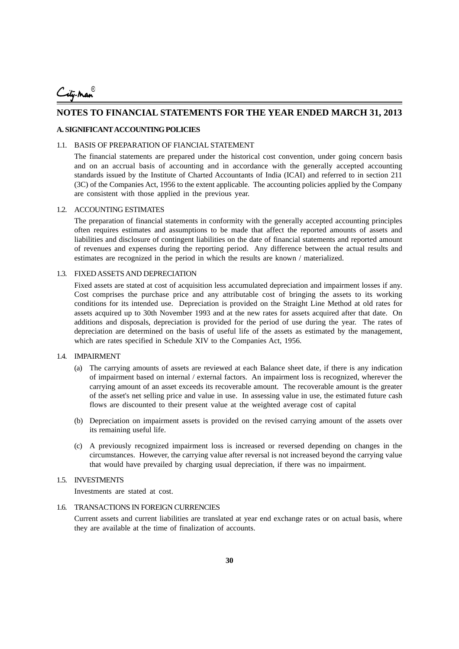

## **A. SIGNIFICANT ACCOUNTING POLICIES**

#### 1.1. BASIS OF PREPARATION OF FIANCIAL STATEMENT

The financial statements are prepared under the historical cost convention, under going concern basis and on an accrual basis of accounting and in accordance with the generally accepted accounting standards issued by the Institute of Charted Accountants of India (ICAI) and referred to in section 211 (3C) of the Companies Act, 1956 to the extent applicable. The accounting policies applied by the Company are consistent with those applied in the previous year.

#### 1.2. ACCOUNTING ESTIMATES

The preparation of financial statements in conformity with the generally accepted accounting principles often requires estimates and assumptions to be made that affect the reported amounts of assets and liabilities and disclosure of contingent liabilities on the date of financial statements and reported amount of revenues and expenses during the reporting period. Any difference between the actual results and estimates are recognized in the period in which the results are known / materialized.

## 1.3. FIXED ASSETS AND DEPRECIATION

Fixed assets are stated at cost of acquisition less accumulated depreciation and impairment losses if any. Cost comprises the purchase price and any attributable cost of bringing the assets to its working conditions for its intended use. Depreciation is provided on the Straight Line Method at old rates for assets acquired up to 30th November 1993 and at the new rates for assets acquired after that date. On additions and disposals, depreciation is provided for the period of use during the year. The rates of depreciation are determined on the basis of useful life of the assets as estimated by the management, which are rates specified in Schedule XIV to the Companies Act, 1956.

#### 1.4. IMPAIRMENT

- (a) The carrying amounts of assets are reviewed at each Balance sheet date, if there is any indication of impairment based on internal / external factors. An impairment loss is recognized, wherever the carrying amount of an asset exceeds its recoverable amount. The recoverable amount is the greater of the asset's net selling price and value in use. In assessing value in use, the estimated future cash flows are discounted to their present value at the weighted average cost of capital
- (b) Depreciation on impairment assets is provided on the revised carrying amount of the assets over its remaining useful life.
- (c) A previously recognized impairment loss is increased or reversed depending on changes in the circumstances. However, the carrying value after reversal is not increased beyond the carrying value that would have prevailed by charging usual depreciation, if there was no impairment.

#### 1.5. INVESTMENTS

Investments are stated at cost.

## 1.6. TRANSACTIONS IN FOREIGN CURRENCIES

Current assets and current liabilities are translated at year end exchange rates or on actual basis, where they are available at the time of finalization of accounts.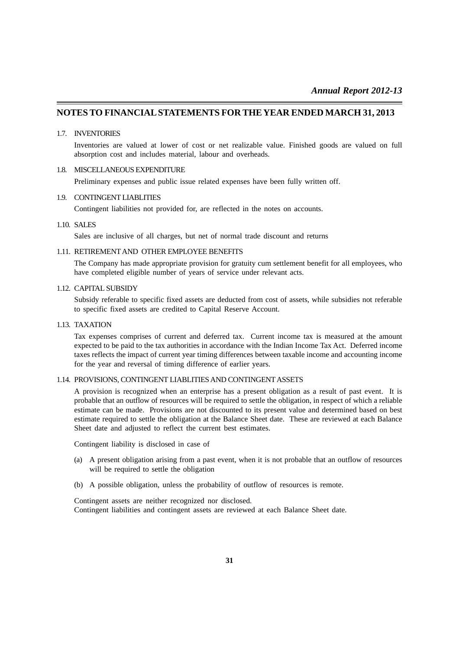#### 1.7. INVENTORIES

Inventories are valued at lower of cost or net realizable value. Finished goods are valued on full absorption cost and includes material, labour and overheads.

#### 1.8. MISCELLANEOUS EXPENDITURE

Preliminary expenses and public issue related expenses have been fully written off.

## 1.9. CONTINGENT LIABLITIES

Contingent liabilities not provided for, are reflected in the notes on accounts.

#### 1.10. SALES

Sales are inclusive of all charges, but net of normal trade discount and returns

#### 1.11. RETIREMENT AND OTHER EMPLOYEE BENEFITS

The Company has made appropriate provision for gratuity cum settlement benefit for all employees, who have completed eligible number of years of service under relevant acts.

## 1.12. CAPITAL SUBSIDY

Subsidy referable to specific fixed assets are deducted from cost of assets, while subsidies not referable to specific fixed assets are credited to Capital Reserve Account.

#### 1.13. TAXATION

Tax expenses comprises of current and deferred tax. Current income tax is measured at the amount expected to be paid to the tax authorities in accordance with the Indian Income Tax Act. Deferred income taxes reflects the impact of current year timing differences between taxable income and accounting income for the year and reversal of timing difference of earlier years.

## 1.14. PROVISIONS, CONTINGENT LIABLITIES AND CONTINGENT ASSETS

A provision is recognized when an enterprise has a present obligation as a result of past event. It is probable that an outflow of resources will be required to settle the obligation, in respect of which a reliable estimate can be made. Provisions are not discounted to its present value and determined based on best estimate required to settle the obligation at the Balance Sheet date. These are reviewed at each Balance Sheet date and adjusted to reflect the current best estimates.

Contingent liability is disclosed in case of

- (a) A present obligation arising from a past event, when it is not probable that an outflow of resources will be required to settle the obligation
- (b) A possible obligation, unless the probability of outflow of resources is remote.

Contingent assets are neither recognized nor disclosed. Contingent liabilities and contingent assets are reviewed at each Balance Sheet date.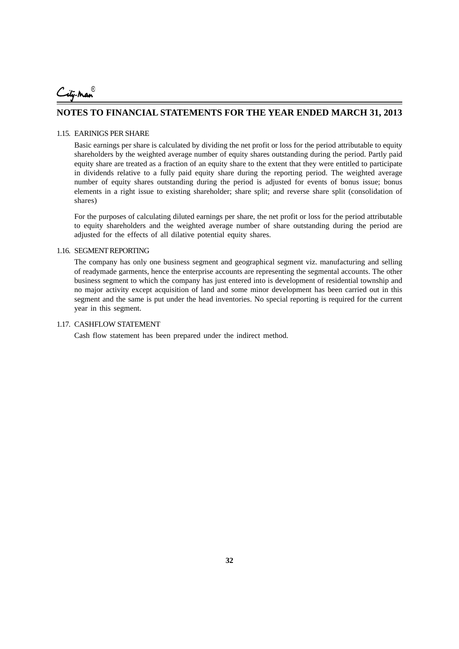

## 1.15. EARINIGS PER SHARE

Basic earnings per share is calculated by dividing the net profit or loss for the period attributable to equity shareholders by the weighted average number of equity shares outstanding during the period. Partly paid equity share are treated as a fraction of an equity share to the extent that they were entitled to participate in dividends relative to a fully paid equity share during the reporting period. The weighted average number of equity shares outstanding during the period is adjusted for events of bonus issue; bonus elements in a right issue to existing shareholder; share split; and reverse share split (consolidation of shares)

For the purposes of calculating diluted earnings per share, the net profit or loss for the period attributable to equity shareholders and the weighted average number of share outstanding during the period are adjusted for the effects of all dilative potential equity shares.

## 1.16. SEGMENT REPORTING

The company has only one business segment and geographical segment viz. manufacturing and selling of readymade garments, hence the enterprise accounts are representing the segmental accounts. The other business segment to which the company has just entered into is development of residential township and no major activity except acquisition of land and some minor development has been carried out in this segment and the same is put under the head inventories. No special reporting is required for the current year in this segment.

## 1.17. CASHFLOW STATEMENT

Cash flow statement has been prepared under the indirect method.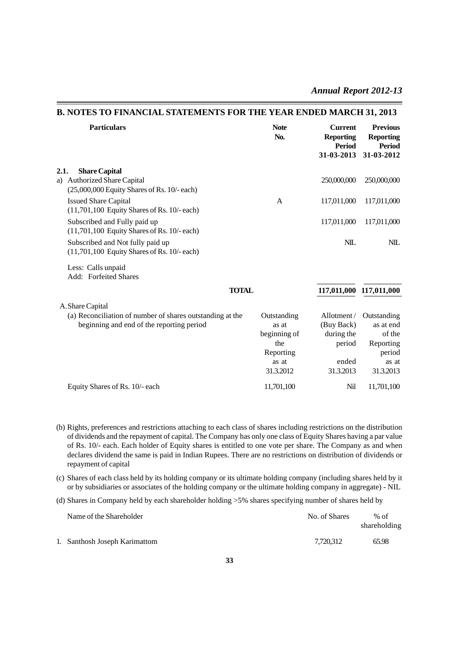| <b>B. NOTES TO FINANCIAL STATEMENTS FOR THE YEAR ENDED MARCH 31, 2013</b>              |                    |                                                                   |                                                                    |
|----------------------------------------------------------------------------------------|--------------------|-------------------------------------------------------------------|--------------------------------------------------------------------|
| <b>Particulars</b>                                                                     | <b>Note</b><br>No. | <b>Current</b><br><b>Reporting</b><br><b>Period</b><br>31-03-2013 | <b>Previous</b><br><b>Reporting</b><br><b>Period</b><br>31-03-2012 |
| 2.1.<br><b>Share Capital</b>                                                           |                    |                                                                   |                                                                    |
| <b>Authorized Share Capital</b><br>a)<br>$(25,000,000)$ Equity Shares of Rs. 10/-each) |                    | 250,000,000                                                       | 250,000,000                                                        |
| <b>Issued Share Capital</b><br>(11,701,100 Equity Shares of Rs. 10/-each)              | A                  | 117,011,000                                                       | 117,011,000                                                        |
| Subscribed and Fully paid up<br>$(11,701,100$ Equity Shares of Rs. $10/-$ each)        |                    | 117,011,000                                                       | 117,011,000                                                        |
| Subscribed and Not fully paid up<br>$(11,701,100$ Equity Shares of Rs. $10/-$ each)    |                    | NIL                                                               | NIL.                                                               |
| Less: Calls unpaid<br>Add: Forfeited Shares                                            |                    |                                                                   |                                                                    |
| <b>TOTAL</b>                                                                           |                    | 117,011,000                                                       | 117,011,000                                                        |
| A. Share Capital                                                                       |                    |                                                                   |                                                                    |
| (a) Reconciliation of number of shares outstanding at the                              | Outstanding        | Allotment/                                                        | Outstanding                                                        |
| beginning and end of the reporting period                                              | as at              | (Buy Back)                                                        | as at end                                                          |
|                                                                                        | beginning of       | during the                                                        | of the                                                             |
|                                                                                        | the                | period                                                            | Reporting                                                          |
|                                                                                        | Reporting          |                                                                   | period                                                             |
|                                                                                        | as at<br>31.3.2012 | ended<br>31.3.2013                                                | as at<br>31.3.2013                                                 |
|                                                                                        |                    |                                                                   |                                                                    |
| Equity Shares of Rs. 10/- each                                                         | 11,701,100         | <b>Nil</b>                                                        | 11,701,100                                                         |

- (b) Rights, preferences and restrictions attaching to each class of shares including restrictions on the distribution of dividends and the repayment of capital. The Company has only one class of Equity Shares having a par value of Rs. 10/- each. Each holder of Equity shares is entitled to one vote per share. The Company as and when declares dividend the same is paid in Indian Rupees. There are no restrictions on distribution of dividends or repayment of capital
- (c) Shares of each class held by its holding company or its ultimate holding company (including shares held by it or by subsidiaries or associates of the holding company or the ultimate holding company in aggregate) - NIL
- (d) Shares in Company held by each shareholder holding >5% shares specifying number of shares held by

| Name of the Shareholder       | No. of Shares | % of<br>shareholding |
|-------------------------------|---------------|----------------------|
| 1. Santhosh Joseph Karimattom | 7.720.312     | 65.98                |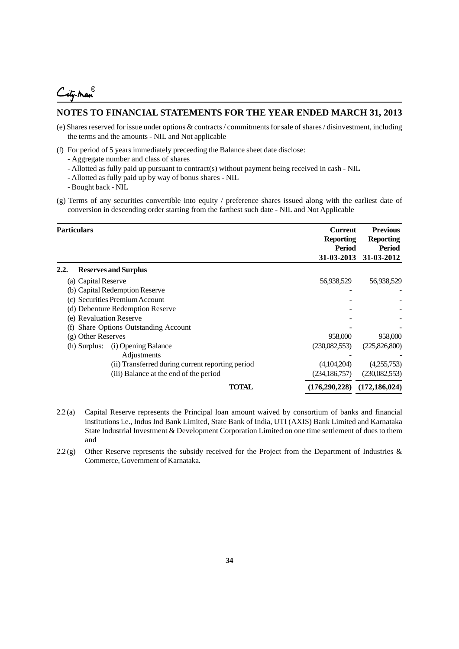# City-man<sup>®</sup>

## **NOTES TO FINANCIAL STATEMENTS FOR THE YEAR ENDED MARCH 31, 2013**

(e) Shares reserved for issue under options & contracts / commitments for sale of shares / disinvestment, including the terms and the amounts - NIL and Not applicable

- (f) For period of 5 years immediately preceeding the Balance sheet date disclose:
	- Aggregate number and class of shares
	- Allotted as fully paid up pursuant to contract(s) without payment being received in cash NIL
	- Allotted as fully paid up by way of bonus shares NIL
	- Bought back NIL
- (g) Terms of any securities convertible into equity / preference shares issued along with the earliest date of conversion in descending order starting from the farthest such date - NIL and Not Applicable

| <b>Particulars</b>                                 | <b>Current</b><br><b>Reporting</b><br>Period<br>31-03-2013 | <b>Previous</b><br><b>Reporting</b><br>Period<br>31-03-2012 |
|----------------------------------------------------|------------------------------------------------------------|-------------------------------------------------------------|
| <b>Reserves and Surplus</b><br>2.2.                |                                                            |                                                             |
| (a) Capital Reserve                                | 56,938,529                                                 | 56,938,529                                                  |
| (b) Capital Redemption Reserve                     |                                                            |                                                             |
| (c) Securities Premium Account                     |                                                            |                                                             |
| (d) Debenture Redemption Reserve                   |                                                            |                                                             |
| (e) Revaluation Reserve                            |                                                            |                                                             |
| (f) Share Options Outstanding Account              |                                                            |                                                             |
| (g) Other Reserves                                 | 958,000                                                    | 958,000                                                     |
| (i) Opening Balance<br>(h) Surplus:<br>Adjustments | (230,082,553)                                              | (225,826,800)                                               |
| (ii) Transferred during current reporting period   | (4,104,204)                                                | (4,255,753)                                                 |
| (iii) Balance at the end of the period             | (234, 186, 757)                                            | (230,082,553)                                               |
| TOTAL                                              | $(176,290,228)$ $(172,186,024)$                            |                                                             |

- 2.2 (a) Capital Reserve represents the Principal loan amount waived by consortium of banks and financial institutions i.e., Indus Ind Bank Limited, State Bank of India, UTI (AXIS) Bank Limited and Karnataka State Industrial Investment & Development Corporation Limited on one time settlement of dues to them and
- 2.2 (g) Other Reserve represents the subsidy received for the Project from the Department of Industries  $\&$ Commerce, Government of Karnataka.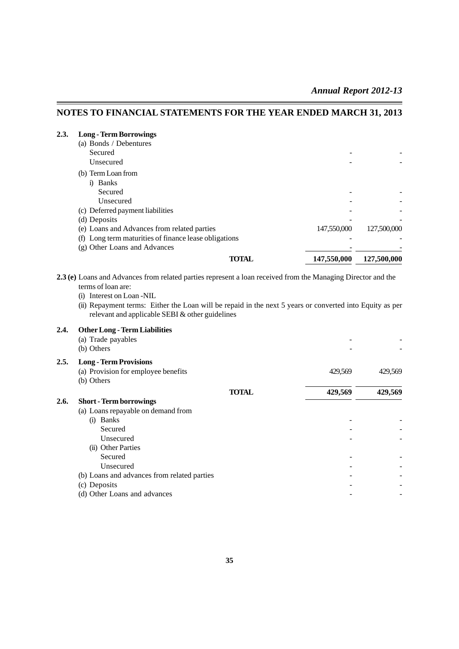| 2.3. | <b>Long - Term Borrowings</b>                                                                                                                                                                                  |              |             |             |
|------|----------------------------------------------------------------------------------------------------------------------------------------------------------------------------------------------------------------|--------------|-------------|-------------|
|      | (a) Bonds / Debentures                                                                                                                                                                                         |              |             |             |
|      | Secured                                                                                                                                                                                                        |              |             |             |
|      | Unsecured                                                                                                                                                                                                      |              |             |             |
|      | (b) Term Loan from                                                                                                                                                                                             |              |             |             |
|      | i) Banks                                                                                                                                                                                                       |              |             |             |
|      | Secured                                                                                                                                                                                                        |              |             |             |
|      | Unsecured                                                                                                                                                                                                      |              |             |             |
|      | (c) Deferred payment liabilities                                                                                                                                                                               |              |             |             |
|      | (d) Deposits                                                                                                                                                                                                   |              |             |             |
|      | (e) Loans and Advances from related parties                                                                                                                                                                    |              | 147,550,000 | 127,500,000 |
|      | (f) Long term maturities of finance lease obligations                                                                                                                                                          |              |             |             |
|      | (g) Other Loans and Advances                                                                                                                                                                                   |              |             |             |
|      |                                                                                                                                                                                                                | <b>TOTAL</b> | 147,550,000 | 127,500,000 |
|      |                                                                                                                                                                                                                |              |             |             |
|      | terms of loan are:<br>(i) Interest on Loan -NIL<br>(ii) Repayment terms: Either the Loan will be repaid in the next 5 years or converted into Equity as per<br>relevant and applicable SEBI & other guidelines |              |             |             |
| 2.4. | <b>Other Long - Term Liabilities</b>                                                                                                                                                                           |              |             |             |
|      | (a) Trade payables                                                                                                                                                                                             |              |             |             |
|      | (b) Others                                                                                                                                                                                                     |              |             |             |
|      |                                                                                                                                                                                                                |              |             |             |
| 2.5. | <b>Long-Term Provisions</b>                                                                                                                                                                                    |              |             |             |
|      | (a) Provision for employee benefits                                                                                                                                                                            |              | 429,569     | 429,569     |
|      | (b) Others                                                                                                                                                                                                     |              |             |             |
|      |                                                                                                                                                                                                                | <b>TOTAL</b> | 429,569     | 429,569     |
| 2.6. | <b>Short - Term borrowings</b>                                                                                                                                                                                 |              |             |             |
|      | (a) Loans repayable on demand from                                                                                                                                                                             |              |             |             |
|      | (i) Banks                                                                                                                                                                                                      |              |             |             |
|      | Secured                                                                                                                                                                                                        |              |             |             |
|      | Unsecured                                                                                                                                                                                                      |              |             |             |
|      | (ii) Other Parties                                                                                                                                                                                             |              |             |             |
|      | Secured<br>Unsecured                                                                                                                                                                                           |              |             |             |
|      |                                                                                                                                                                                                                |              |             |             |
|      | (b) Loans and advances from related parties<br>(c) Deposits                                                                                                                                                    |              |             |             |
|      | (d) Other Loans and advances                                                                                                                                                                                   |              |             |             |
|      |                                                                                                                                                                                                                |              |             |             |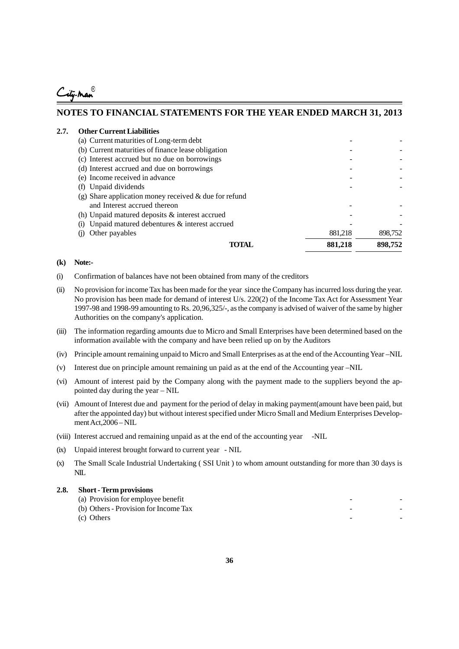City-man<sup>®</sup>

## **2.7. Other Current Liabilities** (a) Current maturities of Long-term debt (b) Current maturities of finance lease obligation (c) Interest accrued but no due on borrowings (d) Interest accrued and due on borrowings (e) Income received in advance (f) Unpaid dividends (g) Share application money received & due for refund and Interest accrued thereon (h) Unpaid matured deposits  $\&$  interest accrued (i) Unpaid matured debentures  $&$  interest accrued (i) Other payables 881,218 898,752 **TOTAL 881,218 898,752**

## **(k) Note:-**

- (i) Confirmation of balances have not been obtained from many of the creditors
- (ii) No provision for income Tax has been made for the year since the Company has incurred loss during the year. No provision has been made for demand of interest U/s. 220(2) of the Income Tax Act for Assessment Year 1997-98 and 1998-99 amounting to Rs. 20,96,325/-, as the company is advised of waiver of the same by higher Authorities on the company's application.
- (iii) The information regarding amounts due to Micro and Small Enterprises have been determined based on the information available with the company and have been relied up on by the Auditors
- (iv) Principle amount remaining unpaid to Micro and Small Enterprises as at the end of the Accounting Year –NIL
- (v) Interest due on principle amount remaining un paid as at the end of the Accounting year –NIL
- (vi) Amount of interest paid by the Company along with the payment made to the suppliers beyond the appointed day during the year – NIL
- (vii) Amount of Interest due and payment for the period of delay in making payment(amount have been paid, but after the appointed day) but without interest specified under Micro Small and Medium Enterprises Development Act,2006 – NIL
- (viii) Interest accrued and remaining unpaid as at the end of the accounting year -NIL
- (ix) Unpaid interest brought forward to current year NIL
- (x) The Small Scale Industrial Undertaking ( SSI Unit ) to whom amount outstanding for more than 30 days is NIL

### **2.8. Short - Term provisions**

| (a) Provision for employee benefit    | $\overline{\phantom{a}}$ |  |
|---------------------------------------|--------------------------|--|
| (b) Others - Provision for Income Tax |                          |  |
| (c) Others                            | $\overline{\phantom{a}}$ |  |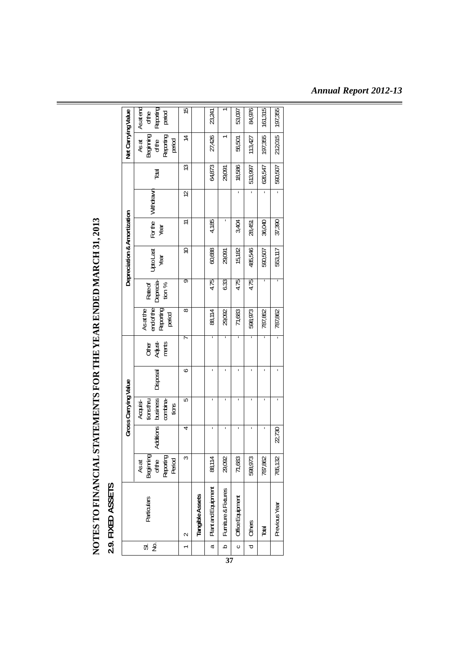| NOTES TO FINANCIAL STATEMENTS FOR THE YEAR ENDED MARCH 31, 2013 | <b>DO ELVED ACCETC</b> |
|-----------------------------------------------------------------|------------------------|
|                                                                 |                        |

2.9. FIXED ASSETS **2.9. FIXED ASSETS**

|                             |                                                           | 15                 |                 |                     |                      |                         |         |         |                          |
|-----------------------------|-----------------------------------------------------------|--------------------|-----------------|---------------------|----------------------|-------------------------|---------|---------|--------------------------|
|                             | Asatend<br>ofthe<br>Reporting<br>period                   |                    |                 | 23,241              |                      | 53,097                  | 84,976  | 161,315 | 197,355                  |
| Net Carrying Value          | Beginning<br>of the<br>Reporting<br>As at<br>period       | 4                  |                 | 27,426              |                      | 56,501                  | 113,427 | 197,355 | 212,015                  |
|                             | <b>Total</b>                                              | 13                 |                 | 64,873              | 29,091               | 18,586                  | 513,997 | 626,547 | 590,507                  |
|                             | Vithdrawn                                                 | 2                  |                 |                     |                      |                         |         |         |                          |
|                             | Forthe                                                    |                    |                 | 4,185               |                      | 3,404                   | 28,451  | 36,040  | 37,390                   |
| Depreciation & Amortization | Upto Last<br>Year                                         | ₽                  |                 | 60,688              | 29,091               | 15,182                  | 485,546 | 590,507 | 553,117                  |
|                             | Rate of<br>Deprecia-<br>tion %                            | ᡋ                  |                 | 4.75                | 6.33                 | 4.75                    | 4.75    |         |                          |
|                             | end of the<br>Reporting<br>period<br>As at the            | $\infty$           |                 | 88,114              | 29,092               | 71,683                  | 598,973 | 787,862 | 787,862                  |
|                             | Other<br>Adjust-<br>ments                                 |                    |                 |                     |                      |                         |         |         |                          |
|                             |                                                           | ◡                  |                 |                     |                      |                         |         |         |                          |
|                             | Disposal                                                  |                    |                 |                     |                      |                         |         |         |                          |
|                             | business<br>combina-<br>Acquisi-<br>tions thru<br>tions   | Б                  |                 |                     |                      |                         |         |         |                          |
| Gross Carrying Value        | Additions                                                 |                    |                 |                     |                      |                         |         |         | 22,730                   |
|                             | Beginning<br>of the<br>Reporting<br>Period<br><b>Asat</b> | 3                  |                 | 88,114              | 29,092               | 71,683                  | 598,973 | 787,862 |                          |
|                             | <b>Particulars</b>                                        | $\scriptstyle\sim$ | Tangible Assets | Plant and Equipment | Furniture & Fixtures | <b>Office Equipment</b> | Others  | Total   | 765,132<br>Previous Year |

# *Annual Report 2012-13*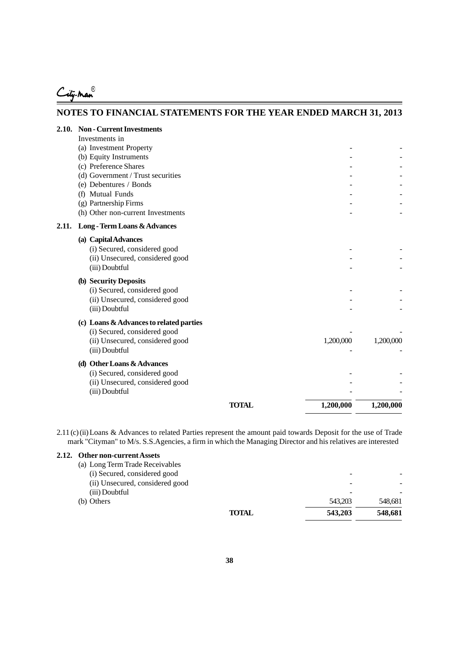City-Man

|       | NOTES TO FINANCIAL STATEMENTS FOR THE YEAR ENDED MARCH 31, 2013                                                                                                                                                                                                                  |              |           |           |
|-------|----------------------------------------------------------------------------------------------------------------------------------------------------------------------------------------------------------------------------------------------------------------------------------|--------------|-----------|-----------|
|       | 2.10. Non - Current Investments<br>Investments in<br>(a) Investment Property<br>(b) Equity Instruments<br>(c) Preference Shares<br>(d) Government / Trust securities<br>(e) Debentures / Bonds<br>(f) Mutual Funds<br>(g) Partnership Firms<br>(h) Other non-current Investments |              |           |           |
| 2.11. | <b>Long-Term Loans &amp; Advances</b>                                                                                                                                                                                                                                            |              |           |           |
|       | (a) Capital Advances<br>(i) Secured, considered good<br>(ii) Unsecured, considered good<br>(iii) Doubtful<br>(b) Security Deposits<br>(i) Secured, considered good<br>(ii) Unsecured, considered good<br>(iii) Doubtful                                                          |              |           |           |
|       | (c) Loans & Advances to related parties<br>(i) Secured, considered good<br>(ii) Unsecured, considered good<br>(iii) Doubtful                                                                                                                                                     |              | 1,200,000 | 1,200,000 |
|       | (d) Other Loans & Advances<br>(i) Secured, considered good<br>(ii) Unsecured, considered good<br>(iii) Doubtful                                                                                                                                                                  |              |           |           |
|       |                                                                                                                                                                                                                                                                                  | <b>TOTAL</b> | 1,200,000 | 1,200,000 |
|       |                                                                                                                                                                                                                                                                                  |              |           |           |

2.11 (c) (ii)Loans & Advances to related Parties represent the amount paid towards Deposit for the use of Trade mark "Cityman" to M/s. S.S.Agencies, a firm in which the Managing Director and his relatives are interested

# **2.12. Other non-current Assets** (a) Long Term Trade Receivables (i) Secured, considered good (ii) Unsecured, considered good (iii) Doubtful (b) Others 543,203 548,681 **TOTAL 543,203 548,681**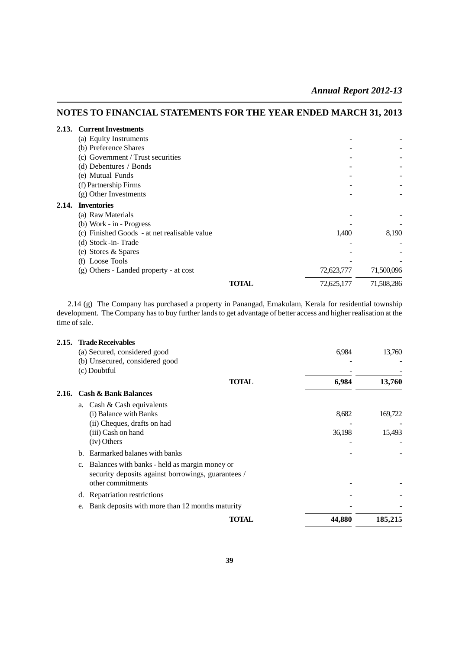|       | NOTES TO FINANCIAL STATEMENTS FOR THE YEAR ENDED MARCH 31, 2013 |            |            |
|-------|-----------------------------------------------------------------|------------|------------|
| 2.13. | <b>Current Investments</b>                                      |            |            |
|       | (a) Equity Instruments                                          |            |            |
|       | (b) Preference Shares                                           |            |            |
|       | (c) Government / Trust securities                               |            |            |
|       | (d) Debentures / Bonds                                          |            |            |
|       | (e) Mutual Funds                                                |            |            |
|       | (f) Partnership Firms                                           |            |            |
|       | (g) Other Investments                                           |            |            |
| 2.14. | <b>Inventories</b>                                              |            |            |
|       | (a) Raw Materials                                               |            |            |
|       | (b) Work - in - Progress                                        |            |            |
|       | (c) Finished Goods - at net realisable value                    | 1,400      | 8,190      |
|       | (d) Stock -in-Trade                                             |            |            |
|       | (e) Stores & Spares                                             |            |            |
|       | (f) Loose Tools                                                 |            |            |
|       | (g) Others - Landed property - at cost                          | 72,623,777 | 71,500,096 |
|       | TOTAL                                                           | 72,625,177 | 71,508,286 |

2.14 (g) The Company has purchased a property in Panangad, Ernakulam, Kerala for residential township development. The Company has to buy further lands to get advantage of better access and higher realisation at the time of sale.

| 2.15. |             | <b>Trade Receivables</b>                           |        |         |
|-------|-------------|----------------------------------------------------|--------|---------|
|       |             | (a) Secured, considered good                       | 6,984  | 13,760  |
|       |             | (b) Unsecured, considered good                     |        |         |
|       |             | (c) Doubtful                                       |        |         |
|       |             | <b>TOTAL</b>                                       | 6,984  | 13,760  |
| 2.16. |             | <b>Cash &amp; Bank Balances</b>                    |        |         |
|       |             | a. Cash & Cash equivalents                         |        |         |
|       |             | (i) Balance with Banks                             | 8,682  | 169,722 |
|       |             | (ii) Cheques, drafts on had                        |        |         |
|       |             | (iii) Cash on hand                                 | 36,198 | 15,493  |
|       |             | $(iv)$ Others                                      |        |         |
|       |             | b. Earmarked balanes with banks                    |        |         |
|       | $c_{\cdot}$ | Balances with banks - held as margin money or      |        |         |
|       |             | security deposits against borrowings, guarantees / |        |         |
|       |             | other commitments                                  |        |         |
|       |             | d. Repatriation restrictions                       |        |         |
|       | e.          | Bank deposits with more than 12 months maturity    |        |         |
|       |             | <b>TOTAL</b>                                       | 44,880 | 185,215 |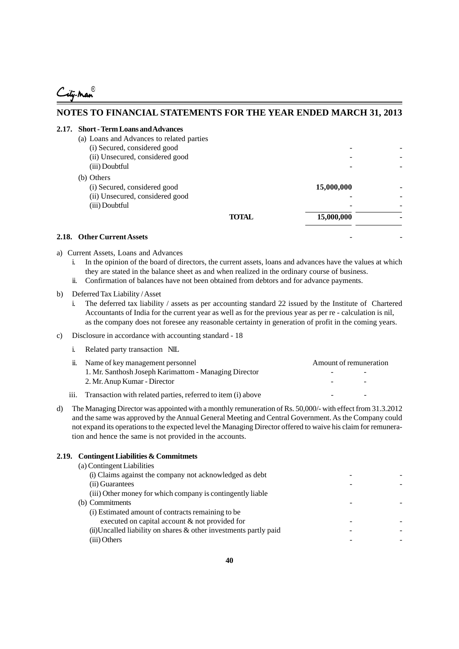City-man

## **2.17. Short - Term Loans and Advances**

| (a) Loans and Advances to related parties |              |            |  |
|-------------------------------------------|--------------|------------|--|
| (i) Secured, considered good              |              |            |  |
| (ii) Unsecured, considered good           |              |            |  |
| (iii) Doubtful                            |              |            |  |
| (b) Others                                |              |            |  |
| (i) Secured, considered good              |              | 15,000,000 |  |
| (ii) Unsecured, considered good           |              |            |  |
| (iii) Doubtful                            |              |            |  |
|                                           | <b>TOTAL</b> | 15,000,000 |  |
| 2.18. Other Current Assets                |              |            |  |

- a) Current Assets, Loans and Advances
	- i. In the opinion of the board of directors, the current assets, loans and advances have the values at which they are stated in the balance sheet as and when realized in the ordinary course of business.
	- ii. Confirmation of balances have not been obtained from debtors and for advance payments.
- b) Deferred Tax Liability / Asset
	- i. The deferred tax liability / assets as per accounting standard 22 issued by the Institute of Chartered Accountants of India for the current year as well as for the previous year as per re - calculation is nil, as the company does not foresee any reasonable certainty in generation of profit in the coming years.

#### c) Disclosure in accordance with accounting standard - 18

|            | i. Related party transaction NIL                             |                        |  |
|------------|--------------------------------------------------------------|------------------------|--|
| <b>ii.</b> | Name of key management personnel                             | Amount of remuneration |  |
|            | 1. Mr. Santhosh Joseph Karimattom - Managing Director        |                        |  |
|            | 2. Mr. Anup Kumar - Director                                 |                        |  |
| 111.       | Transaction with related parties, referred to item (i) above |                        |  |

d) The Managing Director was appointed with a monthly remuneration of Rs. 50,000/- with effect from 31.3.2012 and the same was approved by the Annual General Meeting and Central Government. As the Company could not expand its operations to the expected level the Managing Director offered to waive his claim for remuneration and hence the same is not provided in the accounts.

# **2.19. Contingent Liabilities & Commitmets**

| (a) Contingent Liabilities                                       |   |  |
|------------------------------------------------------------------|---|--|
| (i) Claims against the company not acknowledged as debt          | - |  |
| (ii) Guarantees                                                  |   |  |
| (iii) Other money for which company is contingently liable       |   |  |
| (b) Commitments                                                  |   |  |
| (i) Estimated amount of contracts remaining to be                |   |  |
| executed on capital account & not provided for                   |   |  |
| (ii)Uncalled liability on shares & other investments partly paid |   |  |
| (iii) Others                                                     |   |  |
|                                                                  |   |  |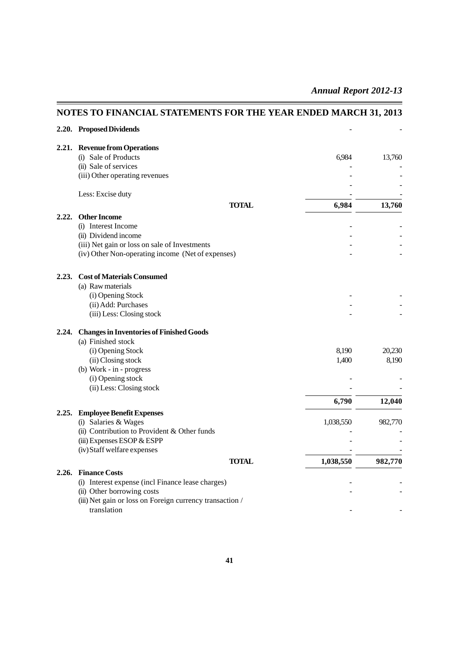*Annual Report 2012-13*

|       | NOTES TO FINANCIAL STATEMENTS FOR THE YEAR ENDED MARCH 31, 2013                                                                                                                               |                    |                   |  |  |
|-------|-----------------------------------------------------------------------------------------------------------------------------------------------------------------------------------------------|--------------------|-------------------|--|--|
|       | 2.20. Proposed Dividends                                                                                                                                                                      |                    |                   |  |  |
|       | 2.21. Revenue from Operations<br>(i) Sale of Products<br>(ii) Sale of services<br>(iii) Other operating revenues                                                                              | 6,984              | 13,760            |  |  |
|       |                                                                                                                                                                                               |                    |                   |  |  |
|       | Less: Excise duty<br><b>TOTAL</b>                                                                                                                                                             | 6,984              | 13,760            |  |  |
| 2.22. | <b>Other Income</b><br>(i) Interest Income<br>(ii) Dividend income<br>(iii) Net gain or loss on sale of Investments<br>(iv) Other Non-operating income (Net of expenses)                      |                    |                   |  |  |
| 2.23. | <b>Cost of Materials Consumed</b><br>(a) Raw materials<br>(i) Opening Stock<br>(ii) Add: Purchases<br>(iii) Less: Closing stock                                                               |                    |                   |  |  |
| 2.24. | <b>Changes in Inventories of Finished Goods</b><br>(a) Finished stock<br>(i) Opening Stock<br>(ii) Closing stock<br>(b) Work - in - progress<br>(i) Opening stock<br>(ii) Less: Closing stock | 8,190<br>1,400     | 20,230<br>8,190   |  |  |
|       | 2.25. Employee Benefit Expenses<br>(i) Salaries & Wages<br>(ii) Contribution to Provident & Other funds<br>(iii) Expenses ESOP & ESPP<br>(iv) Staff welfare expenses                          | 6,790<br>1,038,550 | 12,040<br>982,770 |  |  |
|       | <b>TOTAL</b>                                                                                                                                                                                  | 1,038,550          | 982,770           |  |  |
|       | 2.26. Finance Costs<br>(i) Interest expense (incl Finance lease charges)<br>(ii) Other borrowing costs<br>(iii) Net gain or loss on Foreign currency transaction /<br>translation             |                    |                   |  |  |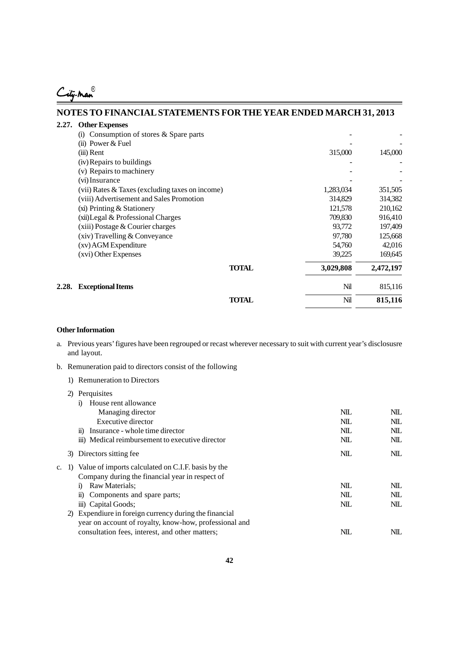City-man

| 2.27. | <b>Other Expenses</b>                           |              |           |           |
|-------|-------------------------------------------------|--------------|-----------|-----------|
|       | Consumption of stores & Spare parts<br>(i)      |              |           |           |
|       | (ii) Power & Fuel                               |              |           |           |
|       | $(iii)$ Rent                                    |              | 315,000   | 145,000   |
|       | (iv) Repairs to buildings                       |              |           |           |
|       | (v) Repairs to machinery                        |              |           |           |
|       | (vi) Insurance                                  |              |           |           |
|       | (vii) Rates & Taxes (excluding taxes on income) |              | 1,283,034 | 351,505   |
|       | (viii) Advertisement and Sales Promotion        |              | 314,829   | 314,382   |
|       | $(xi)$ Printing & Stationery                    |              | 121,578   | 210,162   |
|       | (xii) Legal & Professional Charges              |              | 709,830   | 916,410   |
|       | (xiii) Postage & Courier charges                |              | 93,772    | 197,409   |
|       | (xiv) Travelling & Conveyance                   |              | 97,780    | 125,668   |
|       | (xv) AGM Expenditure                            |              | 54,760    | 42,016    |
|       | (xvi) Other Expenses                            |              | 39,225    | 169,645   |
|       |                                                 | <b>TOTAL</b> | 3,029,808 | 2,472,197 |
| 2.28. | <b>Exceptional Items</b>                        |              | Nil       | 815,116   |
|       |                                                 | TOTAL        | Nil       | 815,116   |
|       |                                                 |              |           |           |

## **Other Information**

- a. Previous years' figures have been regrouped or recast wherever necessary to suit with current year's disclosusre and layout.
- b. Remuneration paid to directors consist of the following
	- 1) Remuneration to Directors
	- 2) Perquisites

|       | House rent allowance<br>$\overline{1}$                 |            |            |
|-------|--------------------------------------------------------|------------|------------|
|       | Managing director                                      | <b>NIL</b> | NIL.       |
|       | Executive director                                     | NIL.       | NIL        |
|       | Insurance - whole time director<br>$\overline{11}$     | <b>NIL</b> | <b>NIL</b> |
|       | iii) Medical reimbursement to executive director       | NIL.       | NIL        |
| 3)    | Directors sitting fee                                  | <b>NIL</b> | NIL.       |
| c. 1) | Value of imports calculated on C.I.F. basis by the     |            |            |
|       | Company during the financial year in respect of        |            |            |
|       | Raw Materials;<br>1)                                   | NIL.       | NIL.       |
|       | Components and spare parts;<br>11)                     | NIL.       | NIL        |
|       | iii) Capital Goods;                                    | NIL.       | NIL.       |
|       | Expendiure in foreign currency during the financial    |            |            |
|       | year on account of royalty, know-how, professional and |            |            |
|       | consultation fees, interest, and other matters;        | NIL        | NIL        |
|       |                                                        |            |            |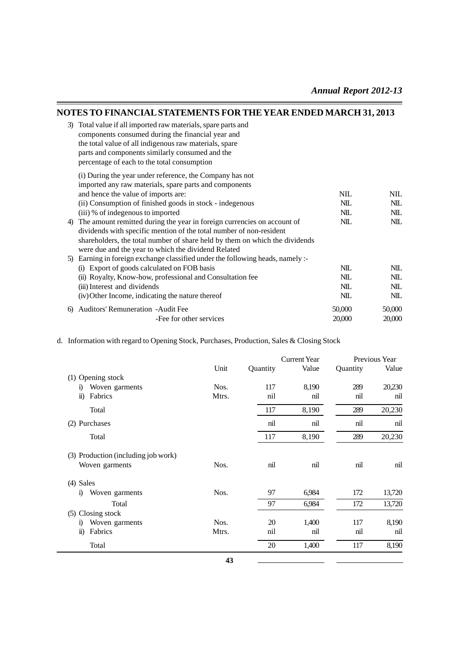| 3) | Total value if all imported raw materials, spare parts and<br>components consumed during the financial year and<br>the total value of all indigenous raw materials, spare<br>parts and components similarly consumed and the<br>percentage of each to the total consumption |            |        |
|----|-----------------------------------------------------------------------------------------------------------------------------------------------------------------------------------------------------------------------------------------------------------------------------|------------|--------|
|    | (i) During the year under reference, the Company has not                                                                                                                                                                                                                    |            |        |
|    | imported any raw materials, spare parts and components                                                                                                                                                                                                                      |            |        |
|    | and hence the value of imports are:                                                                                                                                                                                                                                         | <b>NIL</b> | NIL.   |
|    | (ii) Consumption of finished goods in stock - indegenous                                                                                                                                                                                                                    | NIL.       | NIL    |
|    | (iii) % of indegenous to imported                                                                                                                                                                                                                                           | NIL.       | NIL    |
| 4) | The amount remitted during the year in foreign currencies on account of                                                                                                                                                                                                     | NIL        | NIL    |
|    | dividends with specific mention of the total number of non-resident                                                                                                                                                                                                         |            |        |
|    | shareholders, the total number of share held by them on which the dividends                                                                                                                                                                                                 |            |        |
|    | were due and the year to which the dividend Related                                                                                                                                                                                                                         |            |        |
| 5) | Earning in foreign exchange classified under the following heads, namely :-                                                                                                                                                                                                 |            |        |
|    | (i) Export of goods calculated on FOB basis                                                                                                                                                                                                                                 | NIL        | NIL    |
|    | (ii) Royalty, Know-how, professional and Consultation fee                                                                                                                                                                                                                   | NIL.       | NIL    |
|    | (iii) Interest and dividends                                                                                                                                                                                                                                                | NIL.       | NIL    |
|    | (iv) Other Income, indicating the nature thereof                                                                                                                                                                                                                            | NIL        | NIL    |
| 6  | <b>Auditors' Remuneration - Audit Fee</b>                                                                                                                                                                                                                                   | 50,000     | 50,000 |
|    | -Fee for other services                                                                                                                                                                                                                                                     | 20,000     | 20,000 |

d. Information with regard to Opening Stock, Purchases, Production, Sales & Closing Stock

|                                     |       | <b>Current Year</b> |       | Previous Year |        |
|-------------------------------------|-------|---------------------|-------|---------------|--------|
|                                     | Unit  | Quantity            | Value | Quantity      | Value  |
| (1) Opening stock                   |       |                     |       |               |        |
| Woven garments<br>$\ddot{1}$        | Nos.  | 117                 | 8,190 | 289           | 20,230 |
| Fabrics<br>$\ddot{\mathbf{n}}$      | Mtrs. | nil                 | nil   | nil           | nil    |
| Total                               |       | 117                 | 8,190 | 289           | 20,230 |
| (2) Purchases                       |       | nil                 | nil   | nil           | nil    |
| Total                               |       | 117                 | 8,190 | 289           | 20,230 |
| (3) Production (including job work) |       |                     |       |               |        |
| Woven garments                      | Nos.  | nil                 | nil   | nil           | nil    |
| $(4)$ Sales                         |       |                     |       |               |        |
| Woven garments<br>$\ddot{1}$        | Nos.  | 97                  | 6,984 | 172           | 13,720 |
| Total                               |       | 97                  | 6,984 | 172           | 13,720 |
| Closing stock<br>(5)                |       |                     |       |               |        |
| Woven garments<br>$\ddot{1}$        | Nos.  | 20                  | 1,400 | 117           | 8,190  |
| Fabrics<br>$\ddot{\mathbf{n}}$      | Mtrs. | nil                 | nil   | nil           | nil    |
| Total                               |       | 20                  | 1,400 | 117           | 8,190  |
|                                     | 43    |                     |       |               |        |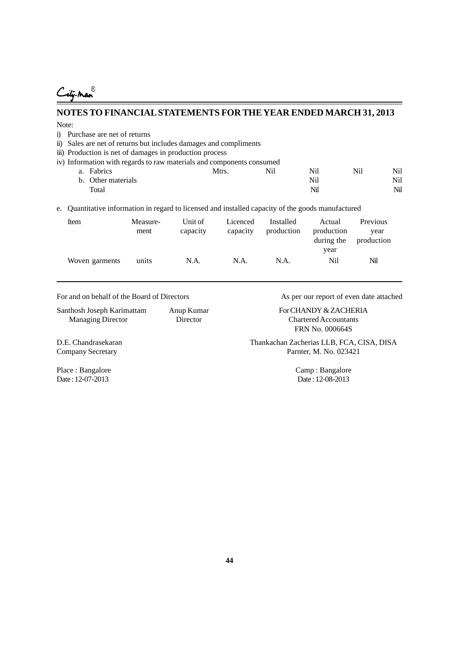City-man

Note:

- i) Purchase are net of returns
- ii) Sales are net of returns but includes damages and compliments
- iii) Production is net of damages in production process
- iv) Information with regards to raw materials and components consumed

| __<br>Fabrics<br>a.   | __<br>Mtrs. | Nil | Nil | <b>Nil</b> | Nil |
|-----------------------|-------------|-----|-----|------------|-----|
| Other materials<br>b. |             |     | Nil |            | Nil |
| Total                 |             |     | Nil |            | Nil |

e. Quantitative information in regard to licensed and installed capacity of the goods manufactured

| Item           | Measure-<br>ment | Unit of<br>capacity | Licenced<br>capacity | Installed<br>production | Actual<br>production | Previous<br>vear |
|----------------|------------------|---------------------|----------------------|-------------------------|----------------------|------------------|
|                |                  |                     |                      |                         | during the           | production       |
|                |                  |                     |                      |                         | year                 |                  |
| Woven garments | units            | N.A.                | N.A.                 | N.A.                    | Nil                  | Nil              |

For and on behalf of the Board of Directors As per our report of even date attached

Santhosh Joseph Karimattam Anup Kumar For CHANDY & ZACHERIA<br>Managing Director Director Chartered Accountants Managing Director Director Director Chartered Accountants

FRN No. 000664S

D.E. Chandrasekaran Thankachan Zacherias LLB, FCA, CISA, DISA Company Secretary Parnter, M. No. 023421

Place : Bangalore Camp : Bangalore Camp : Bangalore Date : 12-07-2013 Date : 12-08-2013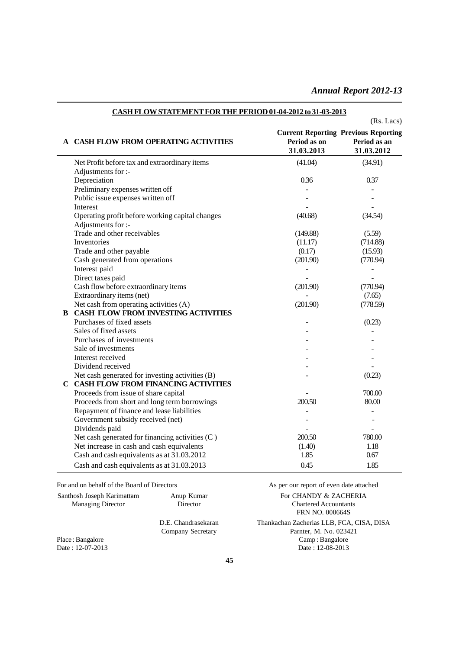# *Annual Report 2012-13*

| CASH FLOW STATEMENT FOR THE PERIOD 01-04-2012 to 31-03-2013           |                            |                                                                           |
|-----------------------------------------------------------------------|----------------------------|---------------------------------------------------------------------------|
|                                                                       |                            | (Rs. Lacs)                                                                |
| A CASH FLOW FROM OPERATING ACTIVITIES                                 | Period as on<br>31.03.2013 | <b>Current Reporting Previous Reporting</b><br>Period as an<br>31.03.2012 |
| Net Profit before tax and extraordinary items                         | (41.04)                    | (34.91)                                                                   |
| Adjustments for :-                                                    |                            |                                                                           |
| Depreciation                                                          | 0.36                       | 0.37                                                                      |
| Preliminary expenses written off                                      |                            |                                                                           |
| Public issue expenses written off                                     |                            |                                                                           |
| Interest                                                              |                            |                                                                           |
| Operating profit before working capital changes<br>Adjustments for :- | (40.68)                    | (34.54)                                                                   |
| Trade and other receivables                                           | (149.88)                   | (5.59)                                                                    |
| Inventories                                                           | (11.17)                    | (714.88)                                                                  |
| Trade and other payable                                               | (0.17)                     | (15.93)                                                                   |
| Cash generated from operations                                        | (201.90)                   | (770.94)                                                                  |
| Interest paid                                                         |                            |                                                                           |
| Direct taxes paid                                                     |                            |                                                                           |
| Cash flow before extraordinary items                                  | (201.90)                   | (770.94)                                                                  |
| Extraordinary items (net)                                             |                            | (7.65)                                                                    |
| Net cash from operating activities (A)                                | (201.90)                   | (778.59)                                                                  |
| <b>B CASH FLOW FROM INVESTING ACTIVITIES</b>                          |                            |                                                                           |
| Purchases of fixed assets                                             |                            | (0.23)                                                                    |
| Sales of fixed assets                                                 |                            |                                                                           |
| Purchases of investments                                              |                            |                                                                           |
| Sale of investments                                                   |                            |                                                                           |
| Interest received                                                     |                            |                                                                           |
| Dividend received                                                     |                            |                                                                           |
| Net cash generated for investing activities (B)                       |                            | (0.23)                                                                    |
| C CASH FLOW FROM FINANCING ACTIVITIES                                 |                            |                                                                           |
| Proceeds from issue of share capital                                  |                            | 700.00                                                                    |
| Proceeds from short and long term borrowings                          | 200.50                     | 80.00                                                                     |
| Repayment of finance and lease liabilities                            |                            |                                                                           |
| Government subsidy received (net)                                     |                            |                                                                           |
| Dividends paid                                                        |                            |                                                                           |
| Net cash generated for financing activities (C)                       | 200.50                     | 780.00                                                                    |
| Net increase in cash and cash equivalents                             | (1.40)                     | 1.18                                                                      |
| Cash and cash equivalents as at 31.03.2012                            | 1.85                       | 0.67                                                                      |
| Cash and cash equivalents as at 31.03.2013                            | 0.45                       | 1.85                                                                      |
|                                                                       |                            |                                                                           |

For and on behalf of the Board of Directors As per our report of even date attached Santhosh Joseph Karimattam Anup Kumar For CHANDY & ZACHERIA<br>Managing Director Director Chartered Accountants Chartered Accountants FRN NO. 000664S D.E. Chandrasekaran Thankachan Zacherias LLB, FCA, CISA, DISA Parnter, M. No. 023421 Place : Bangalore Camp : Bangalore Camp : Bangalore Camp : Bangalore Camp : Bangalore Camp : Bangalore Camp : Bangalore Camp : Bangalore Camp : Bangalore Camp : Bangalore Camp : Bangalore Camp : Bangalore Camp : Bangalore Date: 12-08-2013